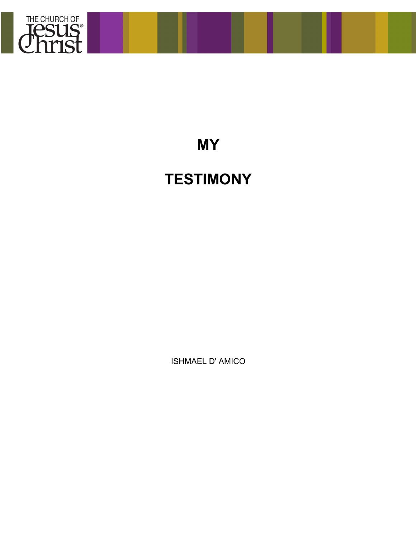

## **MY**

## **TESTIMONY**

ISHMAEL D' AMICO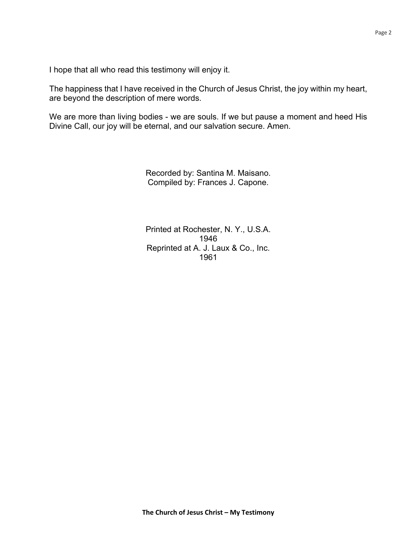I hope that all who read this testimony will enjoy it.

The happiness that I have received in the Church of Jesus Christ, the joy within my heart, are beyond the description of mere words.

We are more than living bodies - we are souls. If we but pause a moment and heed His Divine Call, our joy will be eternal, and our salvation secure. Amen.

> Recorded by: Santina M. Maisano. Compiled by: Frances J. Capone.

> Printed at Rochester, N. Y., U.S.A. 1946 Reprinted at A. J. Laux & Co., Inc. 1961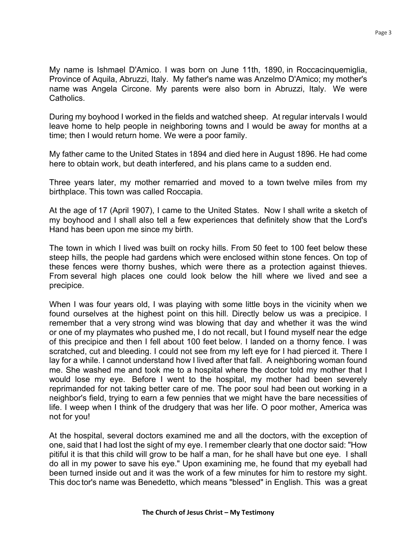My name is Ishmael D'Amico. I was born on June 11th, 1890, in Roccacinquemiglia, Province of Aquila, Abruzzi, Italy. My father's name was Anzelmo D'Amico; my mother's name was Angela Circone. My parents were also born in Abruzzi, Italy. We were Catholics.

During my boyhood I worked in the fields and watched sheep. At regular intervals I would leave home to help people in neighboring towns and I would be away for months at a time; then I would return home. We were a poor family.

My father came to the United States in 1894 and died here in August 1896. He had come here to obtain work, but death interfered, and his plans came to a sudden end.

Three years later, my mother remarried and moved to a town twelve miles from my birthplace. This town was called Roccapia.

At the age of 17 (April 1907), I came to the United States. Now I shall write a sketch of my boyhood and I shall also tell a few experiences that definitely show that the Lord's Hand has been upon me since my birth.

The town in which I lived was built on rocky hills. From 50 feet to 100 feet below these steep hills, the people had gardens which were enclosed within stone fences. On top of these fences were thorny bushes, which were there as a protection against thieves. From several high places one could look below the hill where we lived and see a precipice.

When I was four years old, I was playing with some little boys in the vicinity when we found ourselves at the highest point on this hill. Directly below us was a precipice. I remember that a very strong wind was blowing that day and whether it was the wind or one of my playmates who pushed me, I do not recall, but I found myself near the edge of this precipice and then I fell about 100 feet below. I landed on a thorny fence. I was scratched, cut and bleeding. I could not see from my left eye for I had pierced it. There I lay for a while. I cannot understand how I lived after that fall. A neighboring woman found me. She washed me and took me to a hospital where the doctor told my mother that I would lose my eye. Before I went to the hospital, my mother had been severely reprimanded for not taking better care of me. The poor soul had been out working in a neighbor's field, trying to earn a few pennies that we might have the bare necessities of life. I weep when I think of the drudgery that was her life. O poor mother, America was not for you!

At the hospital, several doctors examined me and all the doctors, with the exception of one, said that I had lost the sight of my eye. I remember clearly that one doctor said: "How pitiful it is that this child will grow to be half a man, for he shall have but one eye. I shall do all in my power to save his eye." Upon examining me, he found that my eyeball had been turned inside out and it was the work of a few minutes for him to restore my sight. This doc tor's name was Benedetto, which means "blessed" in English. This was a great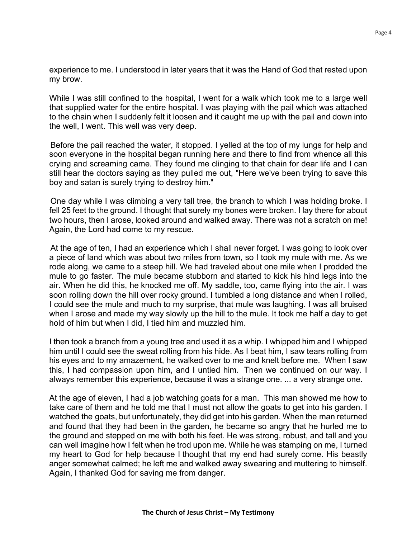experience to me. I understood in later years that it was the Hand of God that rested upon my brow.

While I was still confined to the hospital, I went for a walk which took me to a large well that supplied water for the entire hospital. I was playing with the pail which was attached to the chain when I suddenly felt it loosen and it caught me up with the pail and down into the well, I went. This well was very deep.

Before the pail reached the water, it stopped. I yelled at the top of my lungs for help and soon everyone in the hospital began running here and there to find from whence all this crying and screaming came. They found me clinging to that chain for dear life and I can still hear the doctors saying as they pulled me out, "Here we've been trying to save this boy and satan is surely trying to destroy him."

One day while I was climbing a very tall tree, the branch to which I was holding broke. I fell 25 feet to the ground. I thought that surely my bones were broken. I lay there for about two hours, then I arose, looked around and walked away. There was not a scratch on me! Again, the Lord had come to my rescue.

At the age of ten, I had an experience which I shall never forget. I was going to look over a piece of land which was about two miles from town, so I took my mule with me. As we rode along, we came to a steep hill. We had traveled about one mile when I prodded the mule to go faster. The mule became stubborn and started to kick his hind legs into the air. When he did this, he knocked me off. My saddle, too, came flying into the air. I was soon rolling down the hill over rocky ground. I tumbled a long distance and when l rolled, I could see the mule and much to my surprise, that mule was laughing. I was all bruised when I arose and made my way slowly up the hill to the mule. It took me half a day to get hold of him but when I did, I tied him and muzzled him.

I then took a branch from a young tree and used it as a whip. I whipped him and I whipped him until I could see the sweat rolling from his hide. As I beat him, I saw tears rolling from his eyes and to my amazement, he walked over to me and knelt before me. When I saw this, I had compassion upon him, and I untied him. Then we continued on our way. I always remember this experience, because it was a strange one. ... a very strange one.

At the age of eleven, I had a job watching goats for a man. This man showed me how to take care of them and he told me that I must not allow the goats to get into his garden. I watched the goats, but unfortunately, they did get into his garden. When the man returned and found that they had been in the garden, he became so angry that he hurled me to the ground and stepped on me with both his feet. He was strong, robust, and tall and you can well imagine how I felt when he trod upon me. While he was stamping on me, I turned my heart to God for help because I thought that my end had surely come. His beastly anger somewhat calmed; he left me and walked away swearing and muttering to himself. Again, I thanked God for saving me from danger.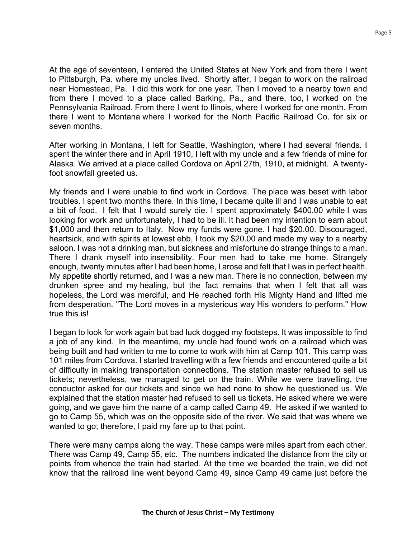At the age of seventeen, I entered the United States at New York and from there I went to Pittsburgh, Pa. where my uncles lived. Shortly after, I began to work on the railroad near Homestead, Pa. I did this work for one year. Then I moved to a nearby town and from there I moved to a place called Barking, Pa., and there, too, I worked on the Pennsylvania Railroad. From there I went to Ilinois, where I worked for one month. From there I went to Montana where I worked for the North Pacific Railroad Co. for six or seven months.

After working in Montana, I left for Seattle, Washington, where I had several friends. I spent the winter there and in April 1910, I left with my uncle and a few friends of mine for Alaska. We arrived at a place called Cordova on April 27th, 1910, at midnight. A twentyfoot snowfall greeted us.

My friends and I were unable to find work in Cordova. The place was beset with labor troubles. I spent two months there. In this time, I became quite ill and I was unable to eat a bit of food. I felt that I would surely die. I spent approximately \$400.00 while I was looking for work and unfortunately, I had to be ill. It had been my intention to earn about \$1,000 and then return to Italy. Now my funds were gone. I had \$20.00. Discouraged, heartsick, and with spirits at lowest ebb, I took my \$20.00 and made my way to a nearby saloon. I was not a drinking man, but sickness and misfortune do strange things to a man. There I drank myself into insensibility. Four men had to take me home. Strangely enough, twenty minutes after I had been home, I arose and felt that I was in perfect health. My appetite shortly returned, and I was a new man. There is no connection, between my drunken spree and my healing, but the fact remains that when I felt that all was hopeless, the Lord was merciful, and He reached forth His Mighty Hand and lifted me from desperation. "The Lord moves in a mysterious way His wonders to perform." How true this is!

I began to look for work again but bad luck dogged my footsteps. It was impossible to find a job of any kind. In the meantime, my uncle had found work on a railroad which was being built and had written to me to come to work with him at Camp 101. This camp was 101 miles from Cordova. I started travelling with a few friends and encountered quite a bit of difficulty in making transportation connections. The station master refused to sell us tickets; nevertheless, we managed to get on the train. While we were travelling, the conductor asked for our tickets and since we had none to show he questioned us. We explained that the station master had refused to sell us tickets. He asked where we were going, and we gave him the name of a camp called Camp 49. He asked if we wanted to go to Camp 55, which was on the opposite side of the river. We said that was where we wanted to go; therefore, I paid my fare up to that point.

There were many camps along the way. These camps were miles apart from each other. There was Camp 49, Camp 55, etc. The numbers indicated the distance from the city or points from whence the train had started. At the time we boarded the train, we did not know that the railroad line went beyond Camp 49, since Camp 49 came just before the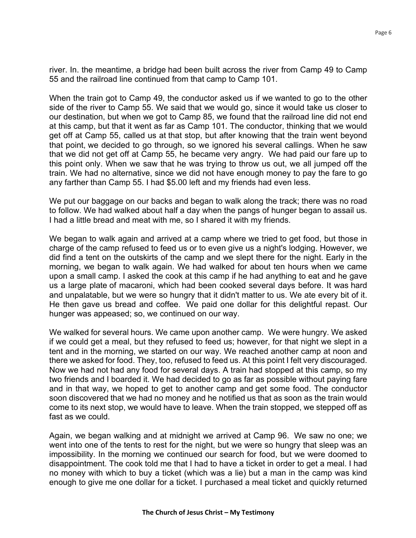river. In. the meantime, a bridge had been built across the river from Camp 49 to Camp 55 and the railroad line continued from that camp to Camp 101.

When the train got to Camp 49, the conductor asked us if we wanted to go to the other side of the river to Camp 55. We said that we would go, since it would take us closer to our destination, but when we got to Camp 85, we found that the railroad line did not end at this camp, but that it went as far as Camp 101. The conductor, thinking that we would get off at Camp 55, called us at that stop, but after knowing that the train went beyond that point, we decided to go through, so we ignored his several callings. When he saw that we did not get off at Camp 55, he became very angry. We had paid our fare up to this point only. When we saw that he was trying to throw us out, we all jumped off the train. We had no alternative, since we did not have enough money to pay the fare to go any farther than Camp 55. I had \$5.00 left and my friends had even less.

We put our baggage on our backs and began to walk along the track; there was no road to follow. We had walked about half a day when the pangs of hunger began to assail us. I had a little bread and meat with me, so I shared it with my friends.

We began to walk again and arrived at a camp where we tried to get food, but those in charge of the camp refused to feed us or to even give us a night's lodging. However, we did find a tent on the outskirts of the camp and we slept there for the night. Early in the morning, we began to walk again. We had walked for about ten hours when we came upon a small camp. I asked the cook at this camp if he had anything to eat and he gave us a large plate of macaroni, which had been cooked several days before. It was hard and unpalatable, but we were so hungry that it didn't matter to us. We ate every bit of it. He then gave us bread and coffee. We paid one dollar for this delightful repast. Our hunger was appeased; so, we continued on our way.

We walked for several hours. We came upon another camp. We were hungry. We asked if we could get a meal, but they refused to feed us; however, for that night we slept in a tent and in the morning, we started on our way. We reached another camp at noon and there we asked for food. They, too, refused to feed us. At this point I felt very discouraged. Now we had not had any food for several days. A train had stopped at this camp, so my two friends and I boarded it. We had decided to go as far as possible without paying fare and in that way, we hoped to get to another camp and get some food. The conductor soon discovered that we had no money and he notified us that as soon as the train would come to its next stop, we would have to leave. When the train stopped, we stepped off as fast as we could.

Again, we began walking and at midnight we arrived at Camp 96. We saw no one; we went into one of the tents to rest for the night, but we were so hungry that sleep was an impossibility. In the morning we continued our search for food, but we were doomed to disappointment. The cook told me that I had to have a ticket in order to get a meal. I had no money with which to buy a ticket (which was a lie) but a man in the camp was kind enough to give me one dollar for a ticket. I purchased a meal ticket and quickly returned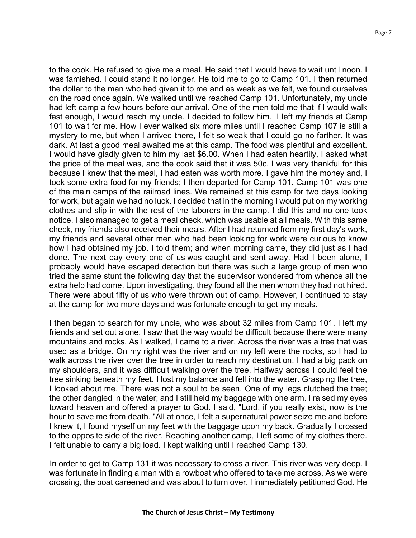to the cook. He refused to give me a meal. He said that I would have to wait until noon. I was famished. I could stand it no longer. He told me to go to Camp 101. I then returned the dollar to the man who had given it to me and as weak as we felt, we found ourselves on the road once again. We walked until we reached Camp 101. Unfortunately, my uncle had left camp a few hours before our arrival. One of the men told me that if I would walk fast enough, I would reach my uncle. I decided to follow him. I left my friends at Camp 101 to wait for me. How I ever walked six more miles until I reached Camp 107 is still a mystery to me, but when I arrived there, I felt so weak that I could go no farther. It was dark. At last a good meal awaited me at this camp. The food was plentiful and excellent. I would have gladly given to him my last \$6.00. When I had eaten heartily, I asked what the price of the meal was, and the cook said that it was 50c. I was very thankful for this because I knew that the meal, I had eaten was worth more. I gave him the money and, I took some extra food for my friends; I then departed for Camp 101. Camp 101 was one of the main camps of the railroad lines. We remained at this camp for two days looking for work, but again we had no luck. I decided that in the morning I would put on my working clothes and slip in with the rest of the laborers in the camp. I did this and no one took notice. I also managed to get a meal check, which was usable at all meals. With this same check, my friends also received their meals. After I had returned from my first day's work, my friends and several other men who had been looking for work were curious to know how I had obtained my job. I told them; and when morning came, they did just as I had done. The next day every one of us was caught and sent away. Had I been alone, I probably would have escaped detection but there was such a large group of men who tried the same stunt the following day that the supervisor wondered from whence all the extra help had come. Upon investigating, they found all the men whom they had not hired. There were about fifty of us who were thrown out of camp. However, I continued to stay at the camp for two more days and was fortunate enough to get my meals.

I then began to search for my uncle, who was about 32 miles from Camp 101. I left my friends and set out alone. I saw that the way would be difficult because there were many mountains and rocks. As I walked, I came to a river. Across the river was a tree that was used as a bridge. On my right was the river and on my left were the rocks, so I had to walk across the river over the tree in order to reach my destination. I had a big pack on my shoulders, and it was difficult walking over the tree. Halfway across I could feel the tree sinking beneath my feet. I lost my balance and fell into the water. Grasping the tree, I looked about me. There was not a soul to be seen. One of my legs clutched the tree; the other dangled in the water; and I still held my baggage with one arm. I raised my eyes toward heaven and offered a prayer to God. I said, "Lord, if you really exist, now is the hour to save me from death. "All at once, I felt a supernatural power seize me and before I knew it, I found myself on my feet with the baggage upon my back. Gradually I crossed to the opposite side of the river. Reaching another camp, I left some of my clothes there. I felt unable to carry a big load. I kept walking until I reached Camp 130.

In order to get to Camp 131 it was necessary to cross a river. This river was very deep. I was fortunate in finding a man with a rowboat who offered to take me across. As we were crossing, the boat careened and was about to turn over. I immediately petitioned God. He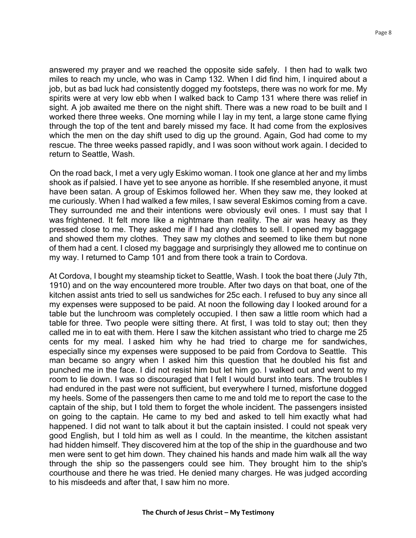answered my prayer and we reached the opposite side safely. I then had to walk two miles to reach my uncle, who was in Camp 132. When I did find him, I inquired about a job, but as bad luck had consistently dogged my footsteps, there was no work for me. My spirits were at very low ebb when I walked back to Camp 131 where there was relief in sight. A job awaited me there on the night shift. There was a new road to be built and I worked there three weeks. One morning while I lay in my tent, a large stone came flying through the top of the tent and barely missed my face. It had come from the explosives which the men on the day shift used to dig up the ground. Again, God had come to my rescue. The three weeks passed rapidly, and I was soon without work again. I decided to return to Seattle, Wash.

On the road back, I met a very ugly Eskimo woman. I took one glance at her and my limbs shook as if palsied. I have yet to see anyone as horrible. If she resembled anyone, it must have been satan. A group of Eskimos followed her. When they saw me, they looked at me curiously. When I had walked a few miles, I saw several Eskimos coming from a cave. They surrounded me and their intentions were obviously evil ones. I must say that I was frightened. It felt more like a nightmare than reality. The air was heavy as they pressed close to me. They asked me if I had any clothes to sell. I opened my baggage and showed them my clothes. They saw my clothes and seemed to like them but none of them had a cent. I closed my baggage and surprisingly they allowed me to continue on my way. I returned to Camp 101 and from there took a train to Cordova.

At Cordova, I bought my steamship ticket to Seattle, Wash. I took the boat there (July 7th, 1910) and on the way encountered more trouble. After two days on that boat, one of the kitchen assist ants tried to sell us sandwiches for 25c each. I refused to buy any since all my expenses were supposed to be paid. At noon the following day I looked around for a table but the lunchroom was completely occupied. I then saw a little room which had a table for three. Two people were sitting there. At first, I was told to stay out; then they called me in to eat with them. Here I saw the kitchen assistant who tried to charge me 25 cents for my meal. I asked him why he had tried to charge me for sandwiches, especially since my expenses were supposed to be paid from Cordova to Seattle. This man became so angry when I asked him this question that he doubled his fist and punched me in the face. I did not resist him but let him go. I walked out and went to my room to lie down. I was so discouraged that I felt I would burst into tears. The troubles I had endured in the past were not sufficient, but everywhere I turned, misfortune dogged my heels. Some of the passengers then came to me and told me to report the case to the captain of the ship, but I told them to forget the whole incident. The passengers insisted on going to the captain. He came to my bed and asked to tell him exactly what had happened. I did not want to talk about it but the captain insisted. I could not speak very good English, but I told him as well as I could. In the meantime, the kitchen assistant had hidden himself. They discovered him at the top of the ship in the guardhouse and two men were sent to get him down. They chained his hands and made him walk all the way through the ship so the passengers could see him. They brought him to the ship's courthouse and there he was tried. He denied many charges. He was judged according to his misdeeds and after that, I saw him no more.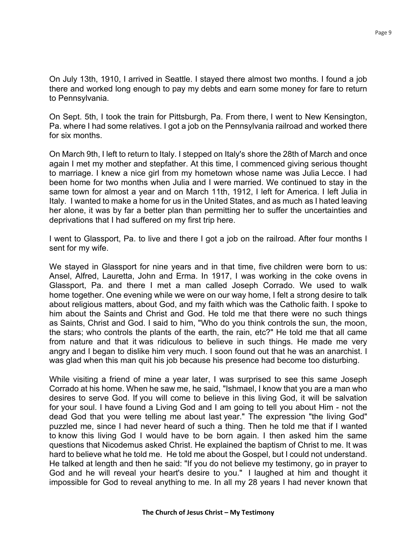On July 13th, 1910, I arrived in Seattle. I stayed there almost two months. I found a job there and worked long enough to pay my debts and earn some money for fare to return to Pennsylvania.

On Sept. 5th, I took the train for Pittsburgh, Pa. From there, I went to New Kensington, Pa. where I had some relatives. I got a job on the Pennsylvania railroad and worked there for six months.

On March 9th, I left to return to Italy. I stepped on Italy's shore the 28th of March and once again I met my mother and stepfather. At this time, I commenced giving serious thought to marriage. I knew a nice girl from my hometown whose name was Julia Lecce. I had been home for two months when Julia and I were married. We continued to stay in the same town for almost a year and on March 11th, 1912, I left for America. I left Julia in Italy. I wanted to make a home for us in the United States, and as much as I hated leaving her alone, it was by far a better plan than permitting her to suffer the uncertainties and deprivations that I had suffered on my first trip here.

I went to Glassport, Pa. to live and there I got a job on the railroad. After four months I sent for my wife.

We stayed in Glassport for nine years and in that time, five children were born to us: Ansel, Alfred, Lauretta, John and Erma. In 1917, I was working in the coke ovens in Glassport, Pa. and there I met a man called Joseph Corrado. We used to walk home together. One evening while we were on our way home, I felt a strong desire to talk about religious matters, about God, and my faith which was the Catholic faith. I spoke to him about the Saints and Christ and God. He told me that there were no such things as Saints, Christ and God. I said to him, "Who do you think controls the sun, the moon, the stars; who controls the plants of the earth, the rain, etc?" He told me that all came from nature and that it was ridiculous to believe in such things. He made me very angry and I began to dislike him very much. I soon found out that he was an anarchist. I was glad when this man quit his job because his presence had become too disturbing.

While visiting a friend of mine a year later, I was surprised to see this same Joseph Corrado at his home. When he saw me, he said, "Ishmael, I know that you are a man who desires to serve God. If you will come to believe in this living God, it will be salvation for your soul. I have found a Living God and I am going to tell you about Him - not the dead God that you were telling me about last year." The expression "the living God" puzzled me, since I had never heard of such a thing. Then he told me that if I wanted to know this living God I would have to be born again. I then asked him the same questions that Nicodemus asked Christ. He explained the baptism of Christ to me. It was hard to believe what he told me. He told me about the Gospel, but I could not understand. He talked at length and then he said: "If you do not believe my testimony, go in prayer to God and he will reveal your heart's desire to you." I laughed at him and thought it impossible for God to reveal anything to me. In all my 28 years I had never known that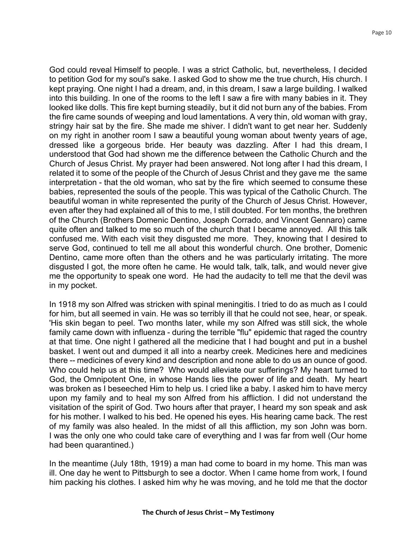God could reveal Himself to people. I was a strict Catholic, but, nevertheless, I decided to petition God for my soul's sake. I asked God to show me the true church, His church. I kept praying. One night I had a dream, and, in this dream, I saw a large building. I walked into this building. In one of the rooms to the left I saw a fire with many babies in it. They looked like dolls. This fire kept burning steadily, but it did not burn any of the babies. From the fire came sounds of weeping and loud lamentations. A very thin, old woman with gray, stringy hair sat by the fire. She made me shiver. I didn't want to get near her. Suddenly on my right in another room I saw a beautiful young woman about twenty years of age, dressed like a gorgeous bride. Her beauty was dazzling. After I had this dream, I understood that God had shown me the difference between the Catholic Church and the Church of Jesus Christ. My prayer had been answered. Not long after I had this dream, I related it to some of the people of the Church of Jesus Christ and they gave me the same interpretation - that the old woman, who sat by the fire which seemed to consume these babies, represented the souls of the people. This was typical of the Catholic Church. The beautiful woman in white represented the purity of the Church of Jesus Christ. However, even after they had explained all of this to me, I still doubted. For ten months, the brethren of the Church (Brothers Domenic Dentino, Joseph Corrado, and Vincent Gennaro) came quite often and talked to me so much of the church that I became annoyed. All this talk confused me. With each visit they disgusted me more. They, knowing that I desired to serve God, continued to tell me all about this wonderful church. One brother, Domenic Dentino, came more often than the others and he was particularly irritating. The more disgusted I got, the more often he came. He would talk, talk, talk, and would never give me the opportunity to speak one word. He had the audacity to tell me that the devil was in my pocket.

In 1918 my son Alfred was stricken with spinal meningitis. l tried to do as much as I could for him, but all seemed in vain. He was so terribly ill that he could not see, hear, or speak. 'His skin began to peel. Two months later, while my son Alfred was still sick, the whole family came down with influenza - during the terrible "flu" epidemic that raged the country at that time. One night I gathered all the medicine that I had bought and put in a bushel basket. I went out and dumped it all into a nearby creek. Medicines here and medicines there -- medicines of every kind and description and none able to do us an ounce of good. Who could help us at this time? Who would alleviate our sufferings? My heart turned to God, the Omnipotent One, in whose Hands lies the power of life and death. My heart was broken as I beseeched Him to help us. I cried like a baby. I asked him to have mercy upon my family and to heal my son Alfred from his affliction. I did not understand the visitation of the spirit of God. Two hours after that prayer, I heard my son speak and ask for his mother. I walked to his bed. He opened his eyes. His hearing came back. The rest of my family was also healed. In the midst of all this affliction, my son John was born. I was the only one who could take care of everything and I was far from well (Our home had been quarantined.)

In the meantime (July 18th, 1919) a man had come to board in my home. This man was ill. One day he went to Pittsburgh to see a doctor. When I came home from work, I found him packing his clothes. I asked him why he was moving, and he told me that the doctor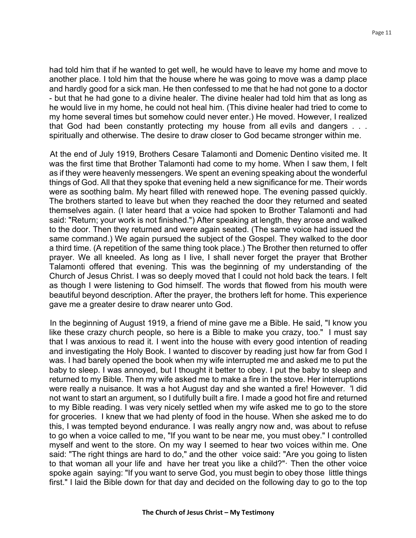had told him that if he wanted to get well, he would have to leave my home and move to another place. I told him that the house where he was going to move was a damp place and hardly good for a sick man. He then confessed to me that he had not gone to a doctor - but that he had gone to a divine healer. The divine healer had told him that as long as he would live in my home, he could not heal him. (This divine healer had tried to come to my home several times but somehow could never enter.) He moved. However, I realized that God had been constantly protecting my house from all evils and dangers . . . spiritually and otherwise. The desire to draw closer to God became stronger within me.

At the end of July 1919, Brothers Cesare Talamonti and Domenic Dentino visited me. It was the first time that Brother Talamonti had come to my home. When I saw them, I felt as if they were heavenly messengers. We spent an evening speaking about the wonderful things of God. All that they spoke that evening held a new significance for me. Their words were as soothing balm. My heart filled with renewed hope. The evening passed quickly. The brothers started to leave but when they reached the door they returned and seated themselves again. (I later heard that a voice had spoken to Brother Talamonti and had said: "Return; your work is not finished.") After speaking at length, they arose and walked to the door. Then they returned and were again seated. (The same voice had issued the same command.) We again pursued the subject of the Gospel. They walked to the door a third time. (A repetition of the same thing took place.) The Brother then returned to offer prayer. We all kneeled. As long as I live, I shall never forget the prayer that Brother Talamonti offered that evening. This was the beginning of my understanding of the Church of Jesus Christ. I was so deeply moved that I could not hold back the tears. I felt as though I were listening to God himself. The words that flowed from his mouth were beautiful beyond description. After the prayer, the brothers left for home. This experience gave me a greater desire to draw nearer unto God.

In the beginning of August 1919, a friend of mine gave me a Bible. He said, "I know you like these crazy church people, so here is a Bible to make you crazy, too." I must say that I was anxious to read it. I went into the house with every good intention of reading and investigating the Holy Book. I wanted to discover by reading just how far from God I was. I had barely opened the book when my wife interrupted me and asked me to put the baby to sleep. I was annoyed, but I thought it better to obey. I put the baby to sleep and returned to my Bible. Then my wife asked me to make a fire in the stove. Her interruptions were really a nuisance. It was a hot August day and she wanted a fire! However. 'l did not want to start an argument, so I dutifully built a fire. I made a good hot fire and returned to my Bible reading. I was very nicely settled when my wife asked me to go to the store for groceries. I knew that we had plenty of food in the house. When she asked me to do this, I was tempted beyond endurance. I was really angry now and, was about to refuse to go when a voice called to me, "If you want to be near me, you must obey." I controlled myself and went to the store. On my way I seemed to hear two voices within me. One said: "The right things are hard to do," and the other voice said: "Are you going to listen to that woman all your life and have her treat you like a child?"· Then the other voice spoke again saying: "If you want to serve God, you must begin to obey those little things first." I laid the Bible down for that day and decided on the following day to go to the top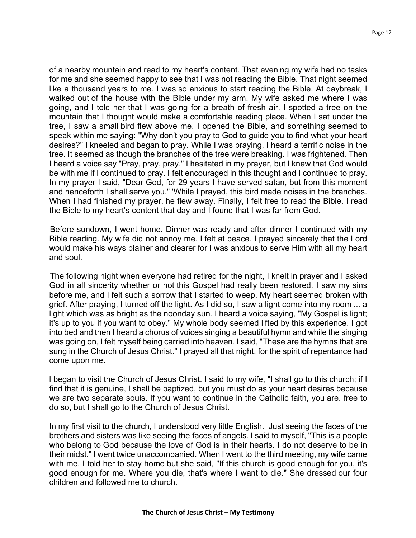of a nearby mountain and read to my heart's content. That evening my wife had no tasks for me and she seemed happy to see that I was not reading the Bible. That night seemed like a thousand years to me. I was so anxious to start reading the Bible. At daybreak, I walked out of the house with the Bible under my arm. My wife asked me where I was going, and I told her that I was going for a breath of fresh air. I spotted a tree on the mountain that I thought would make a comfortable reading place. When I sat under the tree, I saw a small bird flew above me. I opened the Bible, and something seemed to speak within me saying: "Why don't you pray to God to guide you to find what your heart desires?" I kneeled and began to pray. While I was praying, I heard a terrific noise in the tree. It seemed as though the branches of the tree were breaking. I was frightened. Then I heard a voice say "Pray, pray, pray." I hesitated in my prayer, but I knew that God would be with me if I continued to pray. I felt encouraged in this thought and I continued to pray. In my prayer I said, "Dear God, for 29 years I have served satan, but from this moment and henceforth I shall serve you." 'While I prayed, this bird made noises in the branches. When I had finished my prayer, he flew away. Finally, I felt free to read the Bible. I read the Bible to my heart's content that day and I found that I was far from God.

Before sundown, I went home. Dinner was ready and after dinner I continued with my Bible reading. My wife did not annoy me. I felt at peace. I prayed sincerely that the Lord would make his ways plainer and clearer for I was anxious to serve Him with all my heart and soul.

The following night when everyone had retired for the night, I knelt in prayer and I asked God in all sincerity whether or not this Gospel had really been restored. I saw my sins before me, and I felt such a sorrow that I started to weep. My heart seemed broken with grief. After praying, I turned off the light. As I did so, I saw a light come into my room ... a light which was as bright as the noonday sun. I heard a voice saying, "My Gospel is light; it's up to you if you want to obey." My whole body seemed lifted by this experience. I got into bed and then I heard a chorus of voices singing a beautiful hymn and while the singing was going on, I felt myself being carried into heaven. I said, "These are the hymns that are sung in the Church of Jesus Christ." I prayed all that night, for the spirit of repentance had come upon me.

l began to visit the Church of Jesus Christ. I said to my wife, "I shall go to this church; if I find that it is genuine, I shall be baptized, but you must do as your heart desires because we are two separate souls. If you want to continue in the Catholic faith, you are. free to do so, but I shall go to the Church of Jesus Christ.

In my first visit to the church, I understood very little English. Just seeing the faces of the brothers and sisters was like seeing the faces of angels. I said to myself, "This is a people who belong to God because the love of God is in their hearts. I do not deserve to be in their midst." I went twice unaccompanied. When I went to the third meeting, my wife came with me. I told her to stay home but she said, "If this church is good enough for you, it's good enough for me. Where you die, that's where I want to die." She dressed our four children and followed me to church.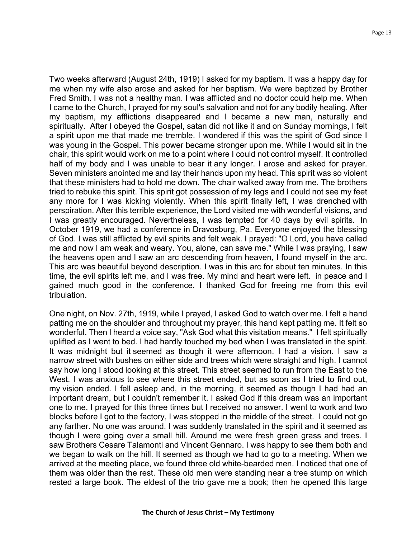Two weeks afterward (August 24th, 1919) I asked for my baptism. It was a happy day for me when my wife also arose and asked for her baptism. We were baptized by Brother Fred Smith. I was not a healthy man. I was afflicted and no doctor could help me. When I came to the Church, I prayed for my soul's salvation and not for any bodily healing. After my baptism, my afflictions disappeared and I became a new man, naturally and spiritually. After I obeyed the Gospel, satan did not like it and on Sunday mornings, I felt a spirit upon me that made me tremble. I wondered if this was the spirit of God since I was young in the Gospel. This power became stronger upon me. While I would sit in the chair, this spirit would work on me to a point where I could not control myself. It controlled half of my body and I was unable to bear it any longer. I arose and asked for prayer. Seven ministers anointed me and lay their hands upon my head. This spirit was so violent that these ministers had to hold me down. The chair walked away from me. The brothers tried to rebuke this spirit. This spirit got possession of my legs and I could not see my feet any more for I was kicking violently. When this spirit finally left, I was drenched with perspiration. After this terrible experience, the Lord visited me with wonderful visions, and I was greatly encouraged. Nevertheless, I was tempted for 40 days by evil spirits. In October 1919, we had a conference in Dravosburg, Pa. Everyone enjoyed the blessing of God. I was still afflicted by evil spirits and felt weak. I prayed: "O Lord, you have called me and now I am weak and weary. You, alone, can save me." While I was praying, I saw the heavens open and I saw an arc descending from heaven, I found myself in the arc. This arc was beautiful beyond description. I was in this arc for about ten minutes. In this time, the evil spirits left me, and I was free. My mind and heart were left. in peace and I gained much good in the conference. I thanked God for freeing me from this evil tribulation.

One night, on Nov. 27th, 1919, while I prayed, I asked God to watch over me. I felt a hand patting me on the shoulder and throughout my prayer, this hand kept patting me. It felt so wonderful. Then I heard a voice say, "Ask God what this visitation means." I felt spiritually uplifted as I went to bed. I had hardly touched my bed when I was translated in the spirit. It was midnight but it seemed as though it were afternoon. I had a vision. I saw a narrow street with bushes on either side and trees which were straight and high. I cannot say how long I stood looking at this street. This street seemed to run from the East to the West. I was anxious to see where this street ended, but as soon as I tried to find out, my vision ended. I fell asleep and, in the morning, it seemed as though I had had an important dream, but I couldn't remember it. I asked God if this dream was an important one to me. I prayed for this three times but I received no answer. I went to work and two blocks before I got to the factory, I was stopped in the middle of the street. I could not go any farther. No one was around. I was suddenly translated in the spirit and it seemed as though I were going over a small hill. Around me were fresh green grass and trees. I saw Brothers Cesare Talamonti and Vincent Gennaro. I was happy to see them both and we began to walk on the hill. It seemed as though we had to go to a meeting. When we arrived at the meeting place, we found three old white-bearded men. I noticed that one of them was older than the rest. These old men were standing near a tree stump on which rested a large book. The eldest of the trio gave me a book; then he opened this large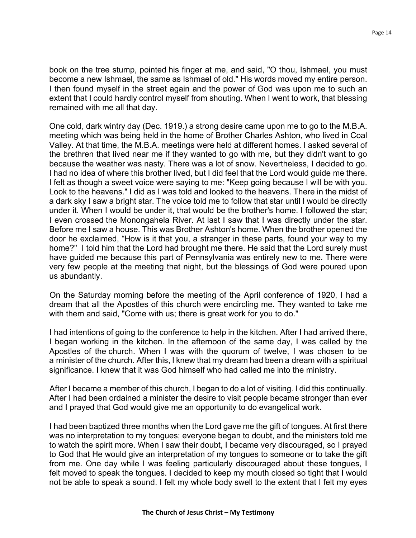book on the tree stump, pointed his finger at me, and said, "O thou, Ishmael, you must become a new Ishmael, the same as Ishmael of old." His words moved my entire person. I then found myself in the street again and the power of God was upon me to such an extent that I could hardly control myself from shouting. When I went to work, that blessing remained with me all that day.

One cold, dark wintry day (Dec. 1919.) a strong desire came upon me to go to the M.B.A. meeting which was being held in the home of Brother Charles Ashton, who lived in Coal Valley. At that time, the M.B.A. meetings were held at different homes. I asked several of the brethren that lived near me if they wanted to go with me, but they didn't want to go because the weather was nasty. There was a lot of snow. Nevertheless, I decided to go. I had no idea of where this brother lived, but I did feel that the Lord would guide me there. I felt as though a sweet voice were saying to me: "Keep going because I will be with you. Look to the heavens." I did as I was told and looked to the heavens. There in the midst of a dark sky I saw a bright star. The voice told me to follow that star until I would be directly under it. When I would be under it, that would be the brother's home. I followed the star; I even crossed the Monongahela River. At last I saw that I was directly under the star. Before me I saw a house. This was Brother Ashton's home. When the brother opened the door he exclaimed, "How is it that you, a stranger in these parts, found your way to my home?" I told him that the Lord had brought me there. He said that the Lord surely must have guided me because this part of Pennsylvania was entirely new to me. There were very few people at the meeting that night, but the blessings of God were poured upon us abundantly.

On the Saturday morning before the meeting of the April conference of 1920, I had a dream that all the Apostles of this church were encircling me. They wanted to take me with them and said, "Come with us; there is great work for you to do."

I had intentions of going to the conference to help in the kitchen. After I had arrived there, I began working in the kitchen. In the afternoon of the same day, I was called by the Apostles of the church. When I was with the quorum of twelve, I was chosen to be a minister of the church. After this, I knew that my dream had been a dream with a spiritual significance. I knew that it was God himself who had called me into the ministry.

After I became a member of this church, I began to do a lot of visiting. I did this continually. After I had been ordained a minister the desire to visit people became stronger than ever and I prayed that God would give me an opportunity to do evangelical work.

I had been baptized three months when the Lord gave me the gift of tongues. At first there was no interpretation to my tongues; everyone began to doubt, and the ministers told me to watch the spirit more. When I saw their doubt, I became very discouraged, so I prayed to God that He would give an interpretation of my tongues to someone or to take the gift from me. One day while I was feeling particularly discouraged about these tongues, I felt moved to speak the tongues. I decided to keep my mouth closed so tight that I would not be able to speak a sound. I felt my whole body swell to the extent that I felt my eyes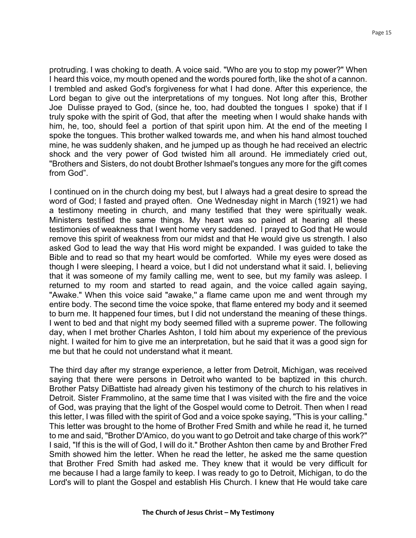protruding. I was choking to death. A voice said. "Who are you to stop my power?" When I heard this voice, my mouth opened and the words poured forth, like the shot of a cannon. I trembled and asked God's forgiveness for what I had done. After this experience, the Lord began to give out the interpretations of my tongues. Not long after this, Brother Joe Dulisse prayed to God, (since he, too, had doubted the tongues I spoke) that if I truly spoke with the spirit of God, that after the meeting when I would shake hands with him, he, too, should feel a portion of that spirit upon him. At the end of the meeting I spoke the tongues. This brother walked towards me, and when his hand almost touched mine, he was suddenly shaken, and he jumped up as though he had received an electric shock and the very power of God twisted him all around. He immediately cried out, "Brothers and Sisters, do not doubt Brother Ishmael's tongues any more for the gift comes from God".

I continued on in the church doing my best, but I always had a great desire to spread the word of God; I fasted and prayed often. One Wednesday night in March (1921) we had a testimony meeting in church, and many testified that they were spiritually weak. Ministers testified the same things. My heart was so pained at hearing all these testimonies of weakness that I went home very saddened. l prayed to God that He would remove this spirit of weakness from our midst and that He would give us strength. I also asked God to lead the way that His word might be expanded. I was guided to take the Bible and to read so that my heart would be comforted. While my eyes were dosed as though I were sleeping, I heard a voice, but I did not understand what it said. I, believing that it was someone of my family calling me, went to see, but my family was asleep. I returned to my room and started to read again, and the voice called again saying, "Awake." When this voice said "awake," a flame came upon me and went through my entire body. The second time the voice spoke, that flame entered my body and it seemed to burn me. It happened four times, but I did not understand the meaning of these things. I went to bed and that night my body seemed filled with a supreme power. The following day, when I met brother Charles Ashton, I told him about my experience of the previous night. I waited for him to give me an interpretation, but he said that it was a good sign for me but that he could not understand what it meant.

The third day after my strange experience, a letter from Detroit, Michigan, was received saying that there were persons in Detroit who wanted to be baptized in this church. Brother Patsy DiBattiste had already given his testimony of the church to his relatives in Detroit. Sister Frammolino, at the same time that I was visited with the fire and the voice of God, was praying that the light of the Gospel would come to Detroit. Then when l read this letter, I was filled with the spirit of God and a voice spoke saying, "This is your calling." This letter was brought to the home of Brother Fred Smith and while he read it, he turned to me and said, "Brother D'Amico, do you want to go Detroit and take charge of this work?" I said, "If this is the will of God, I will do it." Brother Ashton then came by and Brother Fred Smith showed him the letter. When he read the letter, he asked me the same question that Brother Fred Smith had asked me. They knew that it would be very difficult for me because I had a large family to keep. I was ready to go to Detroit, Michigan, to do the Lord's will to plant the Gospel and establish His Church. I knew that He would take care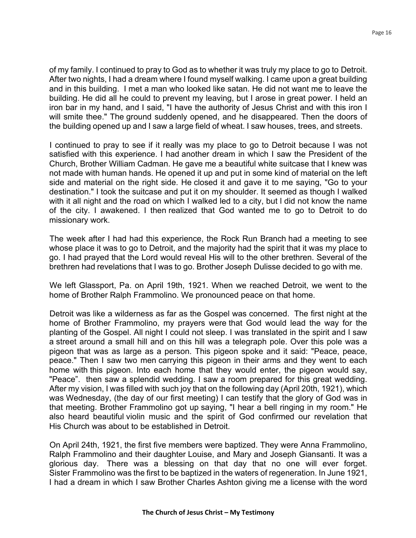of my family. I continued to pray to God as to whether it was truly my place to go to Detroit. After two nights, I had a dream where I found myself walking. I came upon a great building and in this building. I met a man who looked like satan. He did not want me to leave the building. He did all he could to prevent my leaving, but I arose in great power. I held an iron bar in my hand, and I said, "I have the authority of Jesus Christ and with this iron I will smite thee." The ground suddenly opened, and he disappeared. Then the doors of the building opened up and I saw a large field of wheat. I saw houses, trees, and streets.

I continued to pray to see if it really was my place to go to Detroit because I was not satisfied with this experience. I had another dream in which I saw the President of the Church, Brother William Cadman. He gave me a beautiful white suitcase that I knew was not made with human hands. He opened it up and put in some kind of material on the left side and material on the right side. He closed it and gave it to me saying, "Go to your destination." I took the suitcase and put it on my shoulder. It seemed as though I walked with it all night and the road on which I walked led to a city, but I did not know the name of the city. I awakened. I then realized that God wanted me to go to Detroit to do missionary work.

The week after I had had this experience, the Rock Run Branch had a meeting to see whose place it was to go to Detroit, and the majority had the spirit that it was my place to go. I had prayed that the Lord would reveal His will to the other brethren. Several of the brethren had revelations that I was to go. Brother Joseph Dulisse decided to go with me.

We left Glassport, Pa. on April 19th, 1921. When we reached Detroit, we went to the home of Brother Ralph Frammolino. We pronounced peace on that home.

Detroit was like a wilderness as far as the Gospel was concerned. The first night at the home of Brother Frammolino, my prayers were that God would lead the way for the planting of the Gospel. All night I could not sleep. I was translated in the spirit and I saw a street around a small hill and on this hill was a telegraph pole. Over this pole was a pigeon that was as large as a person. This pigeon spoke and it said: "Peace, peace, peace." Then I saw two men carrying this pigeon in their arms and they went to each home with this pigeon. Into each home that they would enter, the pigeon would say, "Peace". then saw a splendid wedding. I saw a room prepared for this great wedding. After my vision, I was filled with such joy that on the following day (April 20th, 1921), which was Wednesday, (the day of our first meeting) I can testify that the glory of God was in that meeting. Brother Frammolino got up saying, "I hear a bell ringing in my room." He also heard beautiful violin music and the spirit of God confirmed our revelation that His Church was about to be established in Detroit.

On April 24th, 1921, the first five members were baptized. They were Anna Frammolino, Ralph Frammolino and their daughter Louise, and Mary and Joseph Giansanti. It was a glorious day. There was a blessing on that day that no one will ever forget. Sister Frammolino was the first to be baptized in the waters of regeneration. In June 1921, I had a dream in which I saw Brother Charles Ashton giving me a license with the word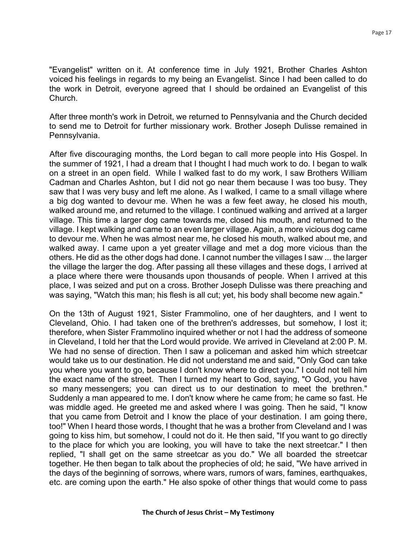"Evangelist" written on it. At conference time in July 1921, Brother Charles Ashton voiced his feelings in regards to my being an Evangelist. Since I had been called to do the work in Detroit, everyone agreed that I should be ordained an Evangelist of this Church.

After three month's work in Detroit, we returned to Pennsylvania and the Church decided to send me to Detroit for further missionary work. Brother Joseph Dulisse remained in Pennsylvania.

After five discouraging months, the Lord began to call more people into His Gospel. In the summer of 1921, I had a dream that I thought I had much work to do. I began to walk on a street in an open field. While I walked fast to do my work, I saw Brothers William Cadman and Charles Ashton, but I did not go near them because I was too busy. They saw that I was very busy and left me alone. As I walked, I came to a small village where a big dog wanted to devour me. When he was a few feet away, he closed his mouth, walked around me, and returned to the village. I continued walking and arrived at a larger village. This time a larger dog came towards me, closed his mouth, and returned to the village. I kept walking and came to an even larger village. Again, a more vicious dog came to devour me. When he was almost near me, he closed his mouth, walked about me, and walked away. I came upon a yet greater village and met a dog more vicious than the others. He did as the other dogs had done. I cannot number the villages I saw ... the larger the village the larger the dog. After passing all these villages and these dogs, I arrived at a place where there were thousands upon thousands of people. When I arrived at this place, I was seized and put on a cross. Brother Joseph Dulisse was there preaching and was saying, "Watch this man; his flesh is all cut; yet, his body shall become new again."

On the 13th of August 1921, Sister Frammolino, one of her daughters, and I went to Cleveland, Ohio. I had taken one of the brethren's addresses, but somehow, I lost it; therefore, when Sister Frammolino inquired whether or not I had the address of someone in Cleveland, I told her that the Lord would provide. We arrived in Cleveland at 2:00 P. M. We had no sense of direction. Then I saw a policeman and asked him which streetcar would take us to our destination. He did not understand me and said, "Only God can take you where you want to go, because I don't know where to direct you." I could not tell him the exact name of the street. Then I turned my heart to God, saying, "O God, you have so many messengers; you can direct us to our destination to meet the brethren." Suddenly a man appeared to me. I don't know where he came from; he came so fast. He was middle aged. He greeted me and asked where I was going. Then he said, "I know that you came from Detroit and I know the place of your destination. I am going there, too!" When I heard those words, I thought that he was a brother from Cleveland and I was going to kiss him, but somehow, I could not do it. He then said, "If you want to go directly to the place for which you are looking, you will have to take the next streetcar." I then replied, "I shall get on the same streetcar as you do." We all boarded the streetcar together. He then began to talk about the prophecies of old; he said, "We have arrived in the days of the beginning of sorrows, where wars, rumors of wars, famines, earthquakes, etc. are coming upon the earth." He also spoke of other things that would come to pass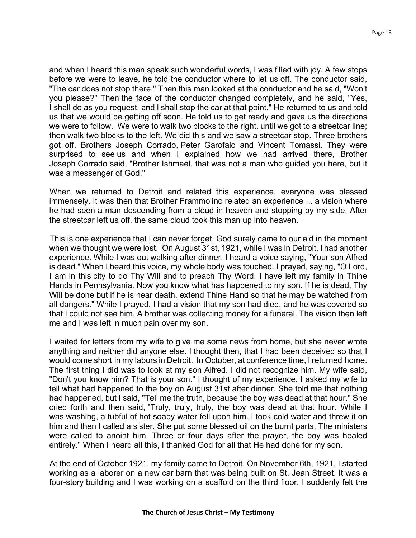and when I heard this man speak such wonderful words, I was filled with joy. A few stops before we were to leave, he told the conductor where to let us off. The conductor said, "The car does not stop there." Then this man looked at the conductor and he said, "Won't you please?" Then the face of the conductor changed completely, and he said, "Yes, I shall do as you request, and l shall stop the car at that point." He returned to us and told us that we would be getting off soon. He told us to get ready and gave us the directions we were to follow. We were to walk two blocks to the right, until we got to a streetcar line; then walk two blocks to the left. We did this and we saw a streetcar stop. Three brothers got off, Brothers Joseph Corrado, Peter Garofalo and Vincent Tomassi. They were surprised to see us and when I explained how we had arrived there, Brother Joseph Corrado said, "Brother Ishmael, that was not a man who guided you here, but it was a messenger of God."

When we returned to Detroit and related this experience, everyone was blessed immensely. It was then that Brother Frammolino related an experience ... a vision where he had seen a man descending from a cloud in heaven and stopping by my side. After the streetcar left us off, the same cloud took this man up into heaven.

This is one experience that I can never forget. God surely came to our aid in the moment when we thought we were lost. On August 31st, 1921, while I was in Detroit, I had another experience. While I was out walking after dinner, I heard a voice saying, "Your son Alfred is dead." When I heard this voice, my whole body was touched. I prayed, saying, "O Lord, I am in this city to do Thy Will and to preach Thy Word. I have left my family in Thine Hands in Pennsylvania. Now you know what has happened to my son. If he is dead, Thy Will be done but if he is near death, extend Thine Hand so that he may be watched from all dangers." While I prayed, I had a vision that my son had died, and he was covered so that I could not see him. A brother was collecting money for a funeral. The vision then left me and I was left in much pain over my son.

I waited for letters from my wife to give me some news from home, but she never wrote anything and neither did anyone else. I thought then, that I had been deceived so that I would come short in my labors in Detroit. In October, at conference time, I returned home. The first thing I did was to look at my son Alfred. I did not recognize him. My wife said, "Don't you know him? That is your son." I thought of my experience. I asked my wife to tell what had happened to the boy on August 31st after dinner. She told me that nothing had happened, but I said, "Tell me the truth, because the boy was dead at that hour." She cried forth and then said, "Truly, truly, truly, the boy was dead at that hour. While I was washing, a tubful of hot soapy water fell upon him. I took cold water and threw it on him and then I called a sister. She put some blessed oil on the burnt parts. The ministers were called to anoint him. Three or four days after the prayer, the boy was healed entirely." When I heard all this, I thanked God for all that He had done for my son.

At the end of October 1921, my family came to Detroit. On November 6th, 1921, I started working as a laborer on a new car barn that was being built on St. Jean Street. It was a four-story building and I was working on a scaffold on the third floor. I suddenly felt the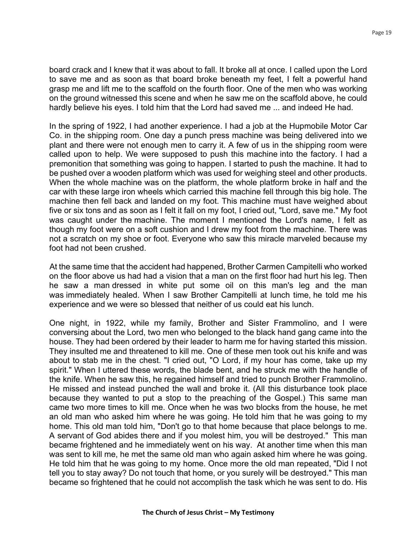board crack and I knew that it was about to fall. It broke all at once. I called upon the Lord to save me and as soon as that board broke beneath my feet, I felt a powerful hand grasp me and lift me to the scaffold on the fourth floor. One of the men who was working on the ground witnessed this scene and when he saw me on the scaffold above, he could hardly believe his eyes. I told him that the Lord had saved me ... and indeed He had.

In the spring of 1922, I had another experience. I had a job at the Hupmobile Motor Car Co. in the shipping room. One day a punch press machine was being delivered into we plant and there were not enough men to carry it. A few of us in the shipping room were called upon to help. We were supposed to push this machine into the factory. I had a premonition that something was going to happen. I started to push the machine. It had to be pushed over a wooden platform which was used for weighing steel and other products. When the whole machine was on the platform, the whole platform broke in half and the car with these large iron wheels which carried this machine fell through this big hole. The machine then fell back and landed on my foot. This machine must have weighed about five or six tons and as soon as I felt it fall on my foot, I cried out, "Lord, save me." My foot was caught under the machine. The moment I mentioned the Lord's name, I felt as though my foot were on a soft cushion and I drew my foot from the machine. There was not a scratch on my shoe or foot. Everyone who saw this miracle marveled because my foot had not been crushed.

At the same time that the accident had happened, Brother Carmen Campitelli who worked on the floor above us had had a vision that a man on the first floor had hurt his leg. Then he saw a man dressed in white put some oil on this man's leg and the man was immediately healed. When I saw Brother Campitelli at lunch time, he told me his experience and we were so blessed that neither of us could eat his lunch.

One night, in 1922, while my family, Brother and Sister Frammolino, and I were conversing about the Lord, two men who belonged to the black hand gang came into the house. They had been ordered by their leader to harm me for having started this mission. They insulted me and threatened to kill me. One of these men took out his knife and was about to stab me in the chest. "I cried out, "O Lord, if my hour has come, take up my spirit." When I uttered these words, the blade bent, and he struck me with the handle of the knife. When he saw this, he regained himself and tried to punch Brother Frammolino. He missed and instead punched the wall and broke it. (All this disturbance took place because they wanted to put a stop to the preaching of the Gospel.) This same man came two more times to kill me. Once when he was two blocks from the house, he met an old man who asked him where he was going. He told him that he was going to my home. This old man told him, "Don't go to that home because that place belongs to me. A servant of God abides there and if you molest him, you will be destroyed." This man became frightened and he immediately went on his way. At another time when this man was sent to kill me, he met the same old man who again asked him where he was going. He told him that he was going to my home. Once more the old man repeated, "Did I not tell you to stay away? Do not touch that home, or you surely will be destroyed." This man became so frightened that he could not accomplish the task which he was sent to do. His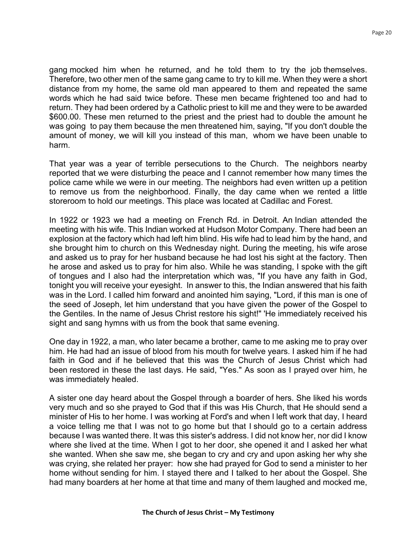gang mocked him when he returned, and he told them to try the job themselves. Therefore, two other men of the same gang came to try to kill me. When they were a short distance from my home, the same old man appeared to them and repeated the same words which he had said twice before. These men became frightened too and had to return. They had been ordered by a Catholic priest to kill me and they were to be awarded \$600.00. These men returned to the priest and the priest had to double the amount he was going to pay them because the men threatened him, saying, "If you don't double the amount of money, we will kill you instead of this man, whom we have been unable to harm.

That year was a year of terrible persecutions to the Church. The neighbors nearby reported that we were disturbing the peace and I cannot remember how many times the police came while we were in our meeting. The neighbors had even written up a petition to remove us from the neighborhood. Finally, the day came when we rented a little storeroom to hold our meetings. This place was located at Cadillac and Forest.

In 1922 or 1923 we had a meeting on French Rd. in Detroit. An Indian attended the meeting with his wife. This Indian worked at Hudson Motor Company. There had been an explosion at the factory which had left him blind. His wife had to lead him by the hand, and she brought him to church on this Wednesday night. During the meeting, his wife arose and asked us to pray for her husband because he had lost his sight at the factory. Then he arose and asked us to pray for him also. While he was standing, I spoke with the gift of tongues and I also had the interpretation which was, "If you have any faith in God, tonight you will receive your eyesight. In answer to this, the Indian answered that his faith was in the Lord. I called him forward and anointed him saying, "Lord, if this man is one of the seed of Joseph, let him understand that you have given the power of the Gospel to the Gentiles. In the name of Jesus Christ restore his sight!" 'He immediately received his sight and sang hymns with us from the book that same evening.

One day in 1922, a man, who later became a brother, came to me asking me to pray over him. He had had an issue of blood from his mouth for twelve years. I asked him if he had faith in God and if he believed that this was the Church of Jesus Christ which had been restored in these the last days. He said, "Yes." As soon as I prayed over him, he was immediately healed.

A sister one day heard about the Gospel through a boarder of hers. She liked his words very much and so she prayed to God that if this was His Church, that He should send a minister of His to her home. I was working at Ford's and when I left work that day, I heard a voice telling me that I was not to go home but that I should go to a certain address because I was wanted there. It was this sister's address. I did not know her, nor did I know where she lived at the time. When I got to her door, she opened it and I asked her what she wanted. When she saw me, she began to cry and cry and upon asking her why she was crying, she related her prayer: how she had prayed for God to send a minister to her home without sending for him. I stayed there and I talked to her about the Gospel. She had many boarders at her home at that time and many of them laughed and mocked me,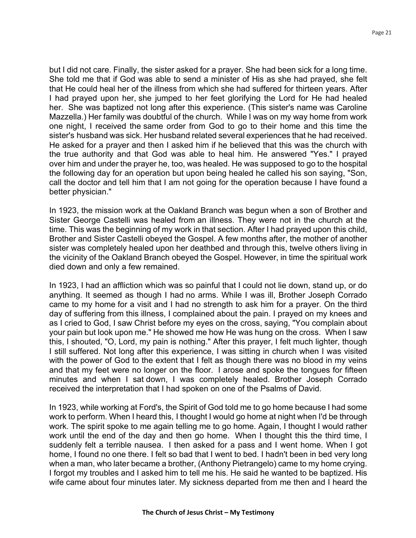but I did not care. Finally, the sister asked for a prayer. She had been sick for a long time. She told me that if God was able to send a minister of His as she had prayed, she felt that He could heal her of the illness from which she had suffered for thirteen years. After I had prayed upon her, she jumped to her feet glorifying the Lord for He had healed her. She was baptized not long after this experience. (This sister's name was Caroline Mazzella.) Her family was doubtful of the church. While I was on my way home from work one night, I received the same order from God to go to their home and this time the sister's husband was sick. Her husband related several experiences that he had received. He asked for a prayer and then I asked him if he believed that this was the church with the true authority and that God was able to heal him. He answered "Yes." I prayed over him and under the prayer he, too, was healed. He was supposed to go to the hospital the following day for an operation but upon being healed he called his son saying, "Son, call the doctor and tell him that I am not going for the operation because I have found a better physician."

In 1923, the mission work at the Oakland Branch was begun when a son of Brother and Sister George Castelli was healed from an illness. They were not in the church at the time. This was the beginning of my work in that section. After I had prayed upon this child, Brother and Sister Castelli obeyed the Gospel. A few months after, the mother of another sister was completely healed upon her deathbed and through this, twelve others living in the vicinity of the Oakland Branch obeyed the Gospel. However, in time the spiritual work died down and only a few remained.

In 1923, I had an affliction which was so painful that I could not lie down, stand up, or do anything. It seemed as though I had no arms. While I was ill, Brother Joseph Corrado came to my home for a visit and I had no strength to ask him for a prayer. On the third day of suffering from this illness, I complained about the pain. I prayed on my knees and as I cried to God, I saw Christ before my eyes on the cross, saying, "You complain about your pain but look upon me." He showed me how He was hung on the cross. When I saw this, I shouted, "O, Lord, my pain is nothing." After this prayer, I felt much lighter, though I still suffered. Not long after this experience, I was sitting in church when I was visited with the power of God to the extent that I felt as though there was no blood in my veins and that my feet were no longer on the floor. I arose and spoke the tongues for fifteen minutes and when I sat down, I was completely healed. Brother Joseph Corrado received the interpretation that I had spoken on one of the Psalms of David.

In 1923, while working at Ford's, the Spirit of God told me to go home because I had some work to perform. When I heard this, I thought I would go home at night when I'd be through work. The spirit spoke to me again telling me to go home. Again, I thought I would rather work until the end of the day and then go home. When I thought this the third time, I suddenly felt a terrible nausea. I then asked for a pass and I went home. When I got home, I found no one there. I felt so bad that I went to bed. I hadn't been in bed very long when a man, who later became a brother, (Anthony Pietrangelo) came to my home crying. I forgot my troubles and I asked him to tell me his. He said he wanted to be baptized. His wife came about four minutes later. My sickness departed from me then and I heard the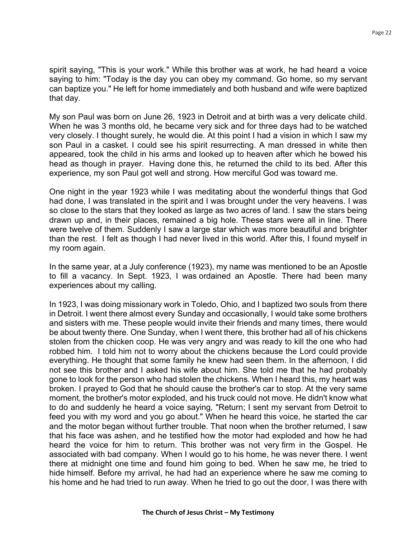spirit saying, "This is your work." While this brother was at work, he had heard a voice saying to him: "Today is the day you can obey my command. Go home, so my servant can baptize you." He left for home immediately and both husband and wife were baptized that day.

My son Paul was born on June 26, 1923 in Detroit and at birth was a very delicate child. When he was 3 months old, he became very sick and for three days had to be watched very closely. I thought surely, he would die. At this point I had a vision in which I saw my son Paul in a casket. I could see his spirit resurrecting. A man dressed in white then appeared, took the child in his arms and looked up to heaven after which he bowed his head as though in prayer. Having done this, he returned the child to its bed. After this experience, my son Paul got well and strong. How merciful God was toward me.

One night in the year 1923 while I was meditating about the wonderful things that God had done, I was translated in the spirit and I was brought under the very heavens. I was so close to the stars that they looked as large as two acres of land. I saw the stars being drawn up and, in their places, remained a big hole. These stars were all in line. There were twelve of them. Suddenly I saw a large star which was more beautiful and brighter than the rest. I felt as though I had never lived in this world. After this, I found myself in my room again.

In the same year, at a July conference (1923), my name was mentioned to be an Apostle to fill a vacancy. In Sept. 1923, I was ordained an Apostle. There had been many experiences about my calling.

In 1923, I was doing missionary work in Toledo, Ohio, and I baptized two souls from there in Detroit. I went there almost every Sunday and occasionally, I would take some brothers and sisters with me. These people would invite their friends and many times, there would be about twenty there. One Sunday, when I went there, this brother had all of his chickens stolen from the chicken coop. He was very angry and was ready to kill the one who had robbed him. I told him not to worry about the chickens because the Lord could provide everything. He thought that some family he knew had seen them. In the afternoon, I did not see this brother and I asked his wife about him. She told me that he had probably gone to look for the person who had stolen the chickens. When I heard this, my heart was broken. I prayed to God that he should cause the brother's car to stop. At the very same moment, the brother's motor exploded, and his truck could not move. He didn't know what to do and suddenly he heard a voice saying, "Return; I sent my servant from Detroit to feed you with my word and you go about." When he heard this voice, he started the car and the motor began without further trouble. That noon when the brother returned, I saw that his face was ashen, and he testified how the motor had exploded and how he had heard the voice for him to return. This brother was not very firm in the Gospel. He associated with bad company. When I would go to his home, he was never there. I went there at midnight one time and found him going to bed. When he saw me, he tried to hide himself. Before my arrival, he had had an experience where he saw me coming to his home and he had tried to run away. When he tried to go out the door, I was there with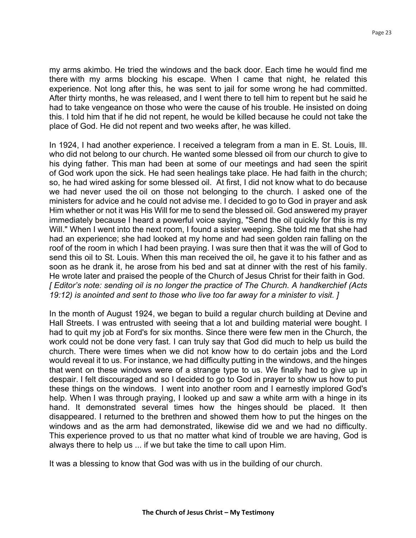my arms akimbo. He tried the windows and the back door. Each time he would find me there with my arms blocking his escape. When I came that night, he related this experience. Not long after this, he was sent to jail for some wrong he had committed. After thirty months, he was released, and I went there to tell him to repent but he said he had to take vengeance on those who were the cause of his trouble. He insisted on doing this. I told him that if he did not repent, he would be killed because he could not take the place of God. He did not repent and two weeks after, he was killed.

In 1924, I had another experience. I received a telegram from a man in E. St. Louis, Ill. who did not belong to our church. He wanted some blessed oil from our church to give to his dying father. This man had been at some of our meetings and had seen the spirit of God work upon the sick. He had seen healings take place. He had faith in the church; so, he had wired asking for some blessed oil. At first, I did not know what to do because we had never used the oil on those not belonging to the church. I asked one of the ministers for advice and he could not advise me. I decided to go to God in prayer and ask Him whether or not it was His Will for me to send the blessed oil. God answered my prayer immediately because I heard a powerful voice saying, "Send the oil quickly for this is my Will." When I went into the next room, I found a sister weeping. She told me that she had had an experience; she had looked at my home and had seen golden rain falling on the roof of the room in which I had been praying. I was sure then that it was the will of God to send this oil to St. Louis. When this man received the oil, he gave it to his father and as soon as he drank it, he arose from his bed and sat at dinner with the rest of his family. He wrote later and praised the people of the Church of Jesus Christ for their faith in God. *[ Editor's note: sending oil is no longer the practice of The Church. A handkerchief (Acts 19:12) is anointed and sent to those who live too far away for a minister to visit. ]* 

In the month of August 1924, we began to build a regular church building at Devine and Hall Streets. I was entrusted with seeing that a lot and building material were bought. I had to quit my job at Ford's for six months. Since there were few men in the Church, the work could not be done very fast. I can truly say that God did much to help us build the church. There were times when we did not know how to do certain jobs and the Lord would reveal it to us. For instance, we had difficulty putting in the windows, and the hinges that went on these windows were of a strange type to us. We finally had to give up in despair. I felt discouraged and so I decided to go to God in prayer to show us how to put these things on the windows. I went into another room and I earnestly implored God's help. When I was through praying, I looked up and saw a white arm with a hinge in its hand. It demonstrated several times how the hinges should be placed. It then disappeared. I returned to the brethren and showed them how to put the hinges on the windows and as the arm had demonstrated, likewise did we and we had no difficulty. This experience proved to us that no matter what kind of trouble we are having, God is always there to help us ... if we but take the time to call upon Him.

It was a blessing to know that God was with us in the building of our church.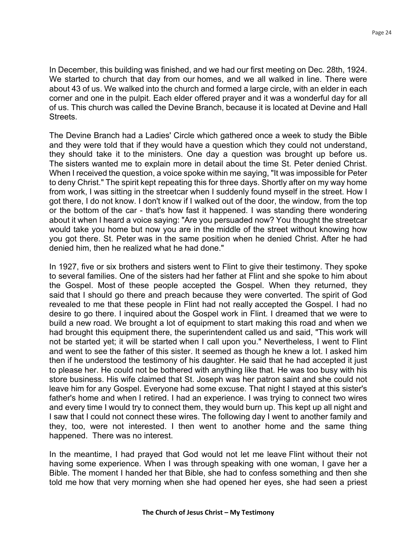In December, this building was finished, and we had our first meeting on Dec. 28th, 1924. We started to church that day from our homes, and we all walked in line. There were about 43 of us. We walked into the church and formed a large circle, with an elder in each corner and one in the pulpit. Each elder offered prayer and it was a wonderful day for all of us. This church was called the Devine Branch, because it is located at Devine and Hall Streets.

The Devine Branch had a Ladies' Circle which gathered once a week to study the Bible and they were told that if they would have a question which they could not understand, they should take it to the ministers. One day a question was brought up before us. The sisters wanted me to explain more in detail about the time St. Peter denied Christ. When I received the question, a voice spoke within me saying, "It was impossible for Peter to deny Christ." The spirit kept repeating this for three days. Shortly after on my way home from work, I was sitting in the streetcar when I suddenly found myself in the street. How I got there, I do not know. I don't know if I walked out of the door, the window, from the top or the bottom of the car - that's how fast it happened. I was standing there wondering about it when I heard a voice saying: "Are you persuaded now? You thought the streetcar would take you home but now you are in the middle of the street without knowing how you got there. St. Peter was in the same position when he denied Christ. After he had denied him, then he realized what he had done."

In 1927, five or six brothers and sisters went to Flint to give their testimony. They spoke to several families. One of the sisters had her father at Flint and she spoke to him about the Gospel. Most of these people accepted the Gospel. When they returned, they said that I should go there and preach because they were converted. The spirit of God revealed to me that these people in Flint had not really accepted the Gospel. I had no desire to go there. I inquired about the Gospel work in Flint. I dreamed that we were to build a new road. We brought a lot of equipment to start making this road and when we had brought this equipment there, the superintendent called us and said, "This work will not be started yet; it will be started when I call upon you." Nevertheless, I went to Flint and went to see the father of this sister. It seemed as though he knew a lot. I asked him then if he understood the testimony of his daughter. He said that he had accepted it just to please her. He could not be bothered with anything like that. He was too busy with his store business. His wife claimed that St. Joseph was her patron saint and she could not leave him for any Gospel. Everyone had some excuse. That night I stayed at this sister's father's home and when I retired. I had an experience. I was trying to connect two wires and every time I would try to connect them, they would burn up. This kept up all night and I saw that I could not connect these wires. The following day I went to another family and they, too, were not interested. I then went to another home and the same thing happened. There was no interest.

In the meantime, I had prayed that God would not let me leave Flint without their not having some experience. When I was through speaking with one woman, I gave her a Bible. The moment I handed her that Bible, she had to confess something and then she told me how that very morning when she had opened her eyes, she had seen a priest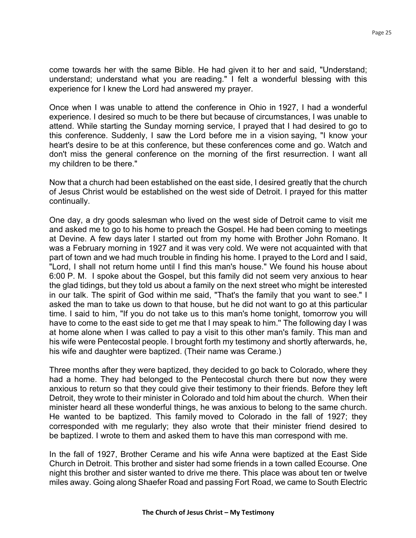come towards her with the same Bible. He had given it to her and said, "Understand; understand; understand what you are reading." I felt a wonderful blessing with this experience for I knew the Lord had answered my prayer.

Once when I was unable to attend the conference in Ohio in 1927, I had a wonderful experience. I desired so much to be there but because of circumstances, I was unable to attend. While starting the Sunday morning service, I prayed that I had desired to go to this conference. Suddenly, I saw the Lord before me in a vision saying, "I know your heart's desire to be at this conference, but these conferences come and go. Watch and don't miss the general conference on the morning of the first resurrection. I want all my children to be there."

Now that a church had been established on the east side, I desired greatly that the church of Jesus Christ would be established on the west side of Detroit. I prayed for this matter continually.

One day, a dry goods salesman who lived on the west side of Detroit came to visit me and asked me to go to his home to preach the Gospel. He had been coming to meetings at Devine. A few days later I started out from my home with Brother John Romano. It was a February morning in 1927 and it was very cold. We were not acquainted with that part of town and we had much trouble in finding his home. I prayed to the Lord and I said, "Lord, I shall not return home until I find this man's house." We found his house about 6:00 P. M. I spoke about the Gospel, but this family did not seem very anxious to hear the glad tidings, but they told us about a family on the next street who might be interested in our talk. The spirit of God within me said, "That's the family that you want to see." I asked the man to take us down to that house, but he did not want to go at this particular time. I said to him, "If you do not take us to this man's home tonight, tomorrow you will have to come to the east side to get me that I may speak to him.'' The following day I was at home alone when I was called to pay a visit to this other man's family. This man and his wife were Pentecostal people. I brought forth my testimony and shortly afterwards, he, his wife and daughter were baptized. (Their name was Cerame.)

Three months after they were baptized, they decided to go back to Colorado, where they had a home. They had belonged to the Pentecostal church there but now they were anxious to return so that they could give their testimony to their friends. Before they left Detroit, they wrote to their minister in Colorado and told him about the church. When their minister heard all these wonderful things, he was anxious to belong to the same church. He wanted to be baptized. This family moved to Colorado in the fall of 1927; they corresponded with me regularly; they also wrote that their minister friend desired to be baptized. I wrote to them and asked them to have this man correspond with me.

In the fall of 1927, Brother Cerame and his wife Anna were baptized at the East Side Church in Detroit. This brother and sister had some friends in a town called Ecourse. One night this brother and sister wanted to drive me there. This place was about ten or twelve miles away. Going along Shaefer Road and passing Fort Road, we came to South Electric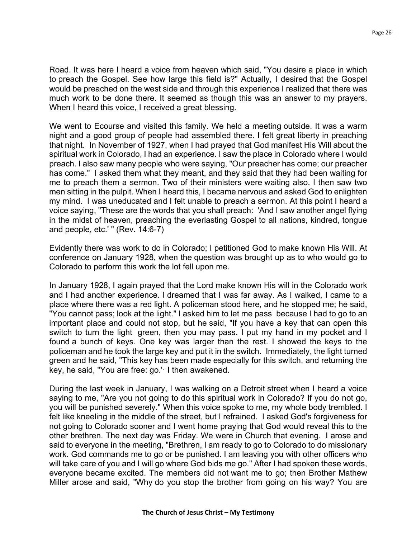Road. It was here I heard a voice from heaven which said, "You desire a place in which to preach the Gospel. See how large this field is?" Actually, I desired that the Gospel would be preached on the west side and through this experience I realized that there was much work to be done there. It seemed as though this was an answer to my prayers. When I heard this voice, I received a great blessing.

We went to Ecourse and visited this family. We held a meeting outside. It was a warm night and a good group of people had assembled there. I felt great liberty in preaching that night. In November of 1927, when I had prayed that God manifest His Will about the spiritual work in Colorado, I had an experience. I saw the place in Colorado where I would preach. I also saw many people who were saying, "Our preacher has come; our preacher has come." I asked them what they meant, and they said that they had been waiting for me to preach them a sermon. Two of their ministers were waiting also. I then saw two men sitting in the pulpit. When I heard this, I became nervous and asked God to enlighten my mind. I was uneducated and I felt unable to preach a sermon. At this point I heard a voice saying, "These are the words that you shall preach: 'And I saw another angel flying in the midst of heaven, preaching the everlasting Gospel to all nations, kindred, tongue and people, etc.' " (Rev. 14:6-7)

Evidently there was work to do in Colorado; I petitioned God to make known His Will. At conference on January 1928, when the question was brought up as to who would go to Colorado to perform this work the lot fell upon me.

In January 1928, I again prayed that the Lord make known His will in the Colorado work and I had another experience. I dreamed that I was far away. As I walked, I came to a place where there was a red light. A policeman stood here, and he stopped me; he said, "You cannot pass; look at the light." I asked him to let me pass because I had to go to an important place and could not stop, but he said, "If you have a key that can open this switch to turn the light green, then you may pass. I put my hand in my pocket and I found a bunch of keys. One key was larger than the rest. I showed the keys to the policeman and he took the large key and put it in the switch. Immediately, the light turned green and he said, "This key has been made especially for this switch, and returning the key, he said, "You are free: go.'· I then awakened.

During the last week in January, I was walking on a Detroit street when I heard a voice saying to me, "Are you not going to do this spiritual work in Colorado? If you do not go, you will be punished severely." When this voice spoke to me, my whole body trembled. I felt like kneeling in the middle of the street, but I refrained. I asked God's forgiveness for not going to Colorado sooner and I went home praying that God would reveal this to the other brethren. The next day was Friday. We were in Church that evening. I arose and said to everyone in the meeting, "Brethren, I am ready to go to Colorado to do missionary work. God commands me to go or be punished. I am leaving you with other officers who will take care of you and I will go where God bids me go." After I had spoken these words, everyone became excited. The members did not want me to go; then Brother Mathew Miller arose and said, "Why do you stop the brother from going on his way? You are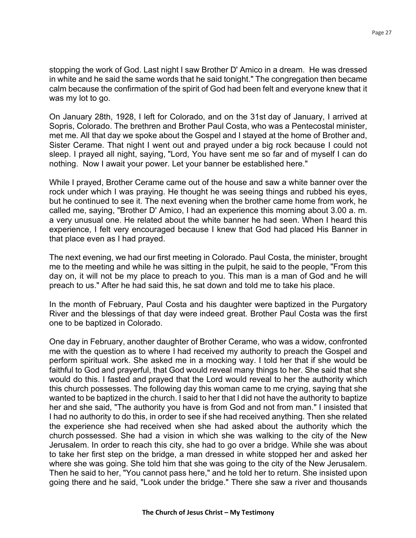stopping the work of God. Last night I saw Brother D' Amico in a dream. He was dressed in white and he said the same words that he said tonight." The congregation then became calm because the confirmation of the spirit of God had been felt and everyone knew that it was my lot to go.

On January 28th, 1928, I left for Colorado, and on the 31st day of January, I arrived at Sopris, Colorado. The brethren and Brother Paul Costa, who was a Pentecostal minister, met me. All that day we spoke about the Gospel and I stayed at the home of Brother and, Sister Cerame. That night I went out and prayed under a big rock because I could not sleep. I prayed all night, saying, "Lord, You have sent me so far and of myself I can do nothing. Now I await your power. Let your banner be established here."

While I prayed, Brother Cerame came out of the house and saw a white banner over the rock under which I was praying. He thought he was seeing things and rubbed his eyes, but he continued to see it. The next evening when the brother came home from work, he called me, saying, "Brother D' Amico, I had an experience this morning about 3.00 a. m. a very unusual one. He related about the white banner he had seen. When I heard this experience, I felt very encouraged because I knew that God had placed His Banner in that place even as I had prayed.

The next evening, we had our first meeting in Colorado. Paul Costa, the minister, brought me to the meeting and while he was sitting in the pulpit, he said to the people, "From this day on, it will not be my place to preach to you. This man is a man of God and he will preach to us." After he had said this, he sat down and told me to take his place.

In the month of February, Paul Costa and his daughter were baptized in the Purgatory River and the blessings of that day were indeed great. Brother Paul Costa was the first one to be baptized in Colorado.

One day in February, another daughter of Brother Cerame, who was a widow, confronted me with the question as to where I had received my authority to preach the Gospel and perform spiritual work. She asked me in a mocking way. I told her that if she would be faithful to God and prayerful, that God would reveal many things to her. She said that she would do this. I fasted and prayed that the Lord would reveal to her the authority which this church possesses. The following day this woman came to me crying, saying that she wanted to be baptized in the church. I said to her that I did not have the authority to baptize her and she said, "The authority you have is from God and not from man." I insisted that I had no authority to do this, in order to see if she had received anything. Then she related the experience she had received when she had asked about the authority which the church possessed. She had a vision in which she was walking to the city of the New Jerusalem. In order to reach this city, she had to go over a bridge. While she was about to take her first step on the bridge, a man dressed in white stopped her and asked her where she was going. She told him that she was going to the city of the New Jerusalem. Then he said to her, "You cannot pass here," and he told her to return. She insisted upon going there and he said, "Look under the bridge." There she saw a river and thousands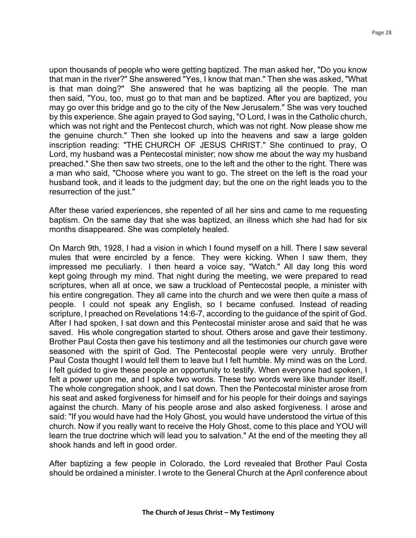upon thousands of people who were getting baptized. The man asked her, "Do you know that man in the river?" She answered "Yes, I know that man." Then she was asked, "What is that man doing?" She answered that he was baptizing all the people. The man then said, "You, too, must go to that man and be baptized. After you are baptized, you may go over this bridge and go to the city of the New Jerusalem." She was very touched by this experience. She again prayed to God saying, "O Lord, I was in the Catholic church, which was not right and the Pentecost church, which was not right. Now please show me the genuine church." Then she looked up into the heavens and saw a large golden inscription reading: "THE CHURCH OF JESUS CHRIST." She continued to pray, O Lord, my husband was a Pentecostal minister; now show me about the way my husband preached." She then saw two streets, one to the left and the other to the right. There was a man who said, "Choose where you want to go. The street on the left is the road your husband took, and it leads to the judgment day; but the one on the right leads you to the resurrection of the just."

After these varied experiences, she repented of all her sins and came to me requesting baptism. On the same day that she was baptized, an illness which she had had for six months disappeared. She was completely healed.

On March 9th, 1928, I had a vision in which I found myself on a hill. There I saw several mules that were encircled by a fence. They were kicking. When I saw them, they impressed me peculiarly. I then heard a voice say, "Watch." All day long this word kept going through my mind. That night during the meeting, we were prepared to read scriptures, when all at once, we saw a truckload of Pentecostal people, a minister with his entire congregation. They all came into the church and we were then quite a mass of people. I could not speak any English, so I became confused. Instead of reading scripture, I preached on Revelations 14:6-7, according to the guidance of the spirit of God. After I had spoken, I sat down and this Pentecostal minister arose and said that he was saved. His whole congregation started to shout. Others arose and gave their testimony. Brother Paul Costa then gave his testimony and all the testimonies our church gave were seasoned with the spirit of God. The Pentecostal people were very unruly. Brother Paul Costa thought I would tell them to leave but I felt humble. My mind was on the Lord. I felt guided to give these people an opportunity to testify. When everyone had spoken, I felt a power upon me, and I spoke two words. These two words were like thunder itself. The whole congregation shook, and I sat down. Then the Pentecostal minister arose from his seat and asked forgiveness for himself and for his people for their doings and sayings against the church. Many of his people arose and also asked forgiveness. I arose and said: "If you would have had the Holy Ghost, you would have understood the virtue of this church. Now if you really want to receive the Holy Ghost, come to this place and YOU will learn the true doctrine which will lead you to salvation." At the end of the meeting they all shook hands and left in good order.

After baptizing a few people in Colorado, the Lord revealed that Brother Paul Costa should be ordained a minister. I wrote to the General Church at the April conference about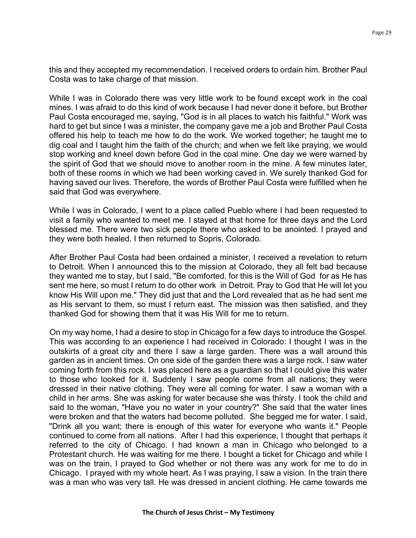this and they accepted my recommendation. I received orders to ordain him. Brother Paul Costa was to take charge of that mission.

While I was in Colorado there was very little work to be found except work in the coal mines. I was afraid to do this kind of work because I had never done it before, but Brother Paul Costa encouraged me, saying, "God is in all places to watch his faithful." Work was hard to get but since I was a minister, the company gave me a job and Brother Paul Costa offered his help to teach me how to do the work. We worked together; he taught me to dig coal and I taught him the faith of the church; and when we felt like praying, we would stop working and kneel down before God in the coal mine. One day we were warned by the spirit of God that we should move to another room in the mine. A few minutes later, both of these rooms in which we had been working caved in. We surely thanked God for having saved our lives. Therefore, the words of Brother Paul Costa were fulfilled when he said that God was everywhere.

While I was in Colorado, I went to a place called Pueblo where I had been requested to visit a family who wanted to meet me. I stayed at that home for three days and the Lord blessed me. There were two sick people there who asked to be anointed. I prayed and they were both healed. I then returned to Sopris, Colorado.

After Brother Paul Costa had been ordained a minister, I received a revelation to return to Detroit. When I announced this to the mission at Colorado, they all felt bad because they wanted me to stay, but I said, "Be comforted, for this is the Will of God for as He has sent me here, so must I return to do other work in Detroit. Pray to God that He will let you know His Will upon me." They did just that and the Lord revealed that as he had sent me as His servant to them, so must I return east. The mission was then satisfied, and they thanked God for showing them that it was His Will for me to return.

On my way home, I had a desire to stop in Chicago for a few days to introduce the Gospel. This was according to an experience I had received in Colorado: I thought I was in the outskirts of a great city and there I saw a large garden. There was a wall around this garden as in ancient times. On one side of the garden there was a large rock. I saw water coming forth from this rock. I was placed here as a guardian so that I could give this water to those who looked for it. Suddenly I saw people come from all nations; they were dressed in their native clothing. They were all coming for water. I saw a woman with a child in her arms. She was asking for water because she was thirsty. I took the child and said to the woman, "Have you no water in your country?" She said that the water lines were broken and that the waters had become polluted. She begged me for water. I said, "Drink all you want; there is enough of this water for everyone who wants it." People continued to come from all nations. After I had this experience, I thought that perhaps it referred to the city of Chicago. I had known a man in Chicago who belonged to a Protestant church. He was waiting for me there. I bought a ticket for Chicago and while I was on the train, I prayed to God whether or not there was any work for me to do in Chicago. I prayed with my whole heart. As I was praying, I saw a vision. In the train there was a man who was very tall. He was dressed in ancient clothing. He came towards me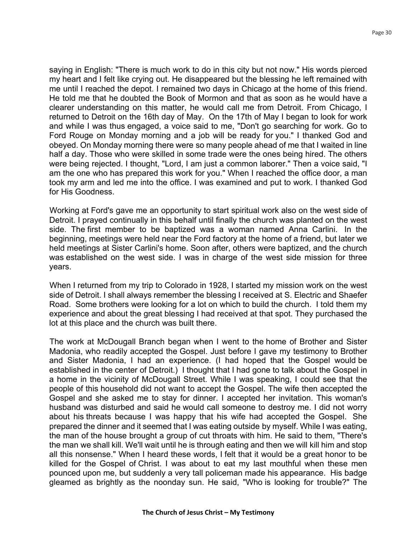saying in English: "There is much work to do in this city but not now." His words pierced my heart and I felt like crying out. He disappeared but the blessing he left remained with me until I reached the depot. I remained two days in Chicago at the home of this friend. He told me that he doubted the Book of Mormon and that as soon as he would have a clearer understanding on this matter, he would call me from Detroit. From Chicago, I returned to Detroit on the 16th day of May. On the 17th of May I began to look for work and while I was thus engaged, a voice said to me, "Don't go searching for work. Go to Ford Rouge on Monday morning and a job will be ready for you." I thanked God and obeyed. On Monday morning there were so many people ahead of me that I waited in line half a day. Those who were skilled in some trade were the ones being hired. The others were being rejected. I thought, "Lord, I am just a common laborer." Then a voice said, "I am the one who has prepared this work for you." When I reached the office door, a man took my arm and led me into the office. I was examined and put to work. I thanked God for His Goodness.

Working at Ford's gave me an opportunity to start spiritual work also on the west side of Detroit. I prayed continually in this behalf until finally the church was planted on the west side. The first member to be baptized was a woman named Anna Carlini. In the beginning, meetings were held near the Ford factory at the home of a friend, but later we held meetings at Sister Carlini's home. Soon after, others were baptized, and the church was established on the west side. I was in charge of the west side mission for three years.

When I returned from my trip to Colorado in 1928, I started my mission work on the west side of Detroit. I shall always remember the blessing I received at S. Electric and Shaefer Road. Some brothers were looking for a lot on which to build the church. I told them my experience and about the great blessing I had received at that spot. They purchased the lot at this place and the church was built there.

The work at McDougall Branch began when I went to the home of Brother and Sister Madonia, who readily accepted the Gospel. Just before I gave my testimony to Brother and Sister Madonia, I had an experience. (I had hoped that the Gospel would be established in the center of Detroit.) I thought that I had gone to talk about the Gospel in a home in the vicinity of McDougall Street. While I was speaking, I could see that the people of this household did not want to accept the Gospel. The wife then accepted the Gospel and she asked me to stay for dinner. I accepted her invitation. This woman's husband was disturbed and said he would call someone to destroy me. I did not worry about his threats because I was happy that his wife had accepted the Gospel. She prepared the dinner and it seemed that I was eating outside by myself. While I was eating, the man of the house brought a group of cut throats with him. He said to them, "There's the man we shall kill. We'll wait until he is through eating and then we will kill him and stop all this nonsense." When I heard these words, I felt that it would be a great honor to be killed for the Gospel of Christ. I was about to eat my last mouthful when these men pounced upon me, but suddenly a very tall policeman made his appearance. His badge gleamed as brightly as the noonday sun. He said, "Who is looking for trouble?" The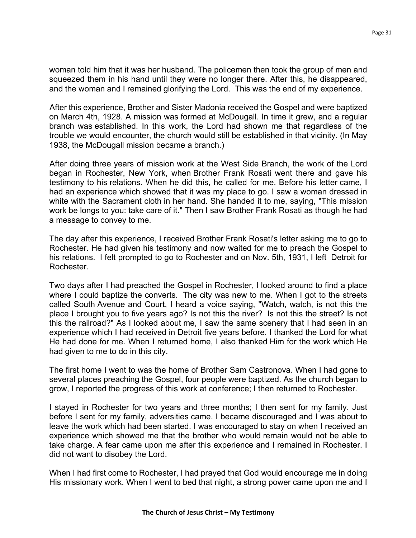woman told him that it was her husband. The policemen then took the group of men and squeezed them in his hand until they were no longer there. After this, he disappeared, and the woman and I remained glorifying the Lord. This was the end of my experience.

After this experience, Brother and Sister Madonia received the Gospel and were baptized on March 4th, 1928. A mission was formed at McDougall. In time it grew, and a regular branch was established. In this work, the Lord had shown me that regardless of the trouble we would encounter, the church would still be established in that vicinity. (In May 1938, the McDougall mission became a branch.)

After doing three years of mission work at the West Side Branch, the work of the Lord began in Rochester, New York, when Brother Frank Rosati went there and gave his testimony to his relations. When he did this, he called for me. Before his letter came, I had an experience which showed that it was my place to go. I saw a woman dressed in white with the Sacrament cloth in her hand. She handed it to me, saying, "This mission work be longs to you: take care of it." Then I saw Brother Frank Rosati as though he had a message to convey to me.

The day after this experience, I received Brother Frank Rosati's letter asking me to go to Rochester. He had given his testimony and now waited for me to preach the Gospel to his relations. I felt prompted to go to Rochester and on Nov. 5th, 1931, I left Detroit for Rochester.

Two days after I had preached the Gospel in Rochester, I looked around to find a place where I could baptize the converts. The city was new to me. When I got to the streets called South Avenue and Court, I heard a voice saying, "Watch, watch, is not this the place I brought you to five years ago? Is not this the river? Is not this the street? Is not this the railroad?" As I looked about me, I saw the same scenery that I had seen in an experience which I had received in Detroit five years before. I thanked the Lord for what He had done for me. When I returned home, I also thanked Him for the work which He had given to me to do in this city.

The first home I went to was the home of Brother Sam Castronova. When I had gone to several places preaching the Gospel, four people were baptized. As the church began to grow, I reported the progress of this work at conference; I then returned to Rochester.

I stayed in Rochester for two years and three months; I then sent for my family. Just before I sent for my family, adversities came. I became discouraged and I was about to leave the work which had been started. I was encouraged to stay on when I received an experience which showed me that the brother who would remain would not be able to take charge. A fear came upon me after this experience and I remained in Rochester. I did not want to disobey the Lord.

When I had first come to Rochester, I had prayed that God would encourage me in doing His missionary work. When I went to bed that night, a strong power came upon me and I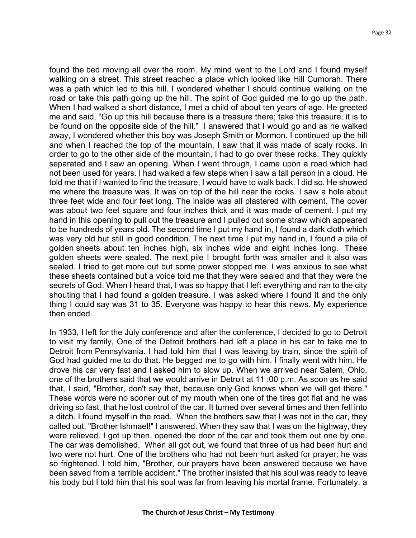found the bed moving all over the room. My mind went to the Lord and I found myself walking on a street. This street reached a place which looked like Hill Cumorah. There was a path which led to this hill. I wondered whether I should continue walking on the road or take this path going up the hill. The spirit of God guided me to go up the path. When I had walked a short distance, I met a child of about ten years of age. He greeted me and said, "Go up this hill because there is a treasure there; take this treasure; it is to be found on the opposite side of the hill." I answered that I would go and as he walked away, I wondered whether this boy was Joseph Smith or Mormon. I continued up the hill and when I reached the top of the mountain, I saw that it was made of scaly rocks. In order to go to the other side of the mountain, I had to go over these rocks. They quickly separated and I saw an opening. When I went through, I came upon a road which had not been used for years. I had walked a few steps when I saw a tall person in a cloud. He told me that if I wanted to find the treasure, I would have to walk back. I did so. He showed me where the treasure was. It was on top of the hill near the rocks. I saw a hole about three feet wide and four feet long. The inside was all plastered with cement. The cover was about two feet square and four inches thick and it was made of cement. I put my hand in this opening to pull out the treasure and I pulled out some straw which appeared to be hundreds of years old. The second time I put my hand in, I found a dark cloth which was very old but still in good condition. The next time I put my hand in, I found a pile of golden sheets about ten inches high, six inches wide and eight inches long. These golden sheets were sealed. The next pile I brought forth was smaller and it also was sealed. I tried to get more out but some power stopped me. I was anxious to see what these sheets contained but a voice told me that they were sealed and that they were the secrets of God. When I heard that, I was so happy that I left everything and ran to the city shouting that I had found a golden treasure. I was asked where I found it and the only thing I could say was 31 to 35. Everyone was happy to hear this news. My experience then ended.

In 1933, I left for the July conference and after the conference, I decided to go to Detroit to visit my family, One of the Detroit brothers had left a place in his car to take me to Detroit from Pennsylvania. I had told him that I was leaving by train, since the spirit of God had guided me to do that. He begged me to go with him. I finally went with him. He drove his car very fast and I asked him to slow up. When we arrived near Salem, Ohio, one of the brothers said that we would arrive in Detroit at 11 :00 p.m. As soon as he said that, I said, "Brother, don't say that, because only God knows when we will get there." These words were no sooner out of my mouth when one of the tires got flat and he was driving so fast, that he lost control of the car. It turned over several times and then fell into a ditch. I found myself in the road. When the brothers saw that I was not in the car, they called out, "Brother Ishmael!" I answered. When they saw that I was on the highway, they were relieved. I got up then, opened the door of the car and took them out one by one. The car was demolished. When all got out, we found that three of us had been hurt and two were not hurt. One of the brothers who had not been hurt asked for prayer; he was so frightened. I told him, "Brother, our prayers have been answered because we have been saved from a terrible accident." The brother insisted that his soul was ready to leave his body but I told him that his soul was far from leaving his mortal frame. Fortunately, a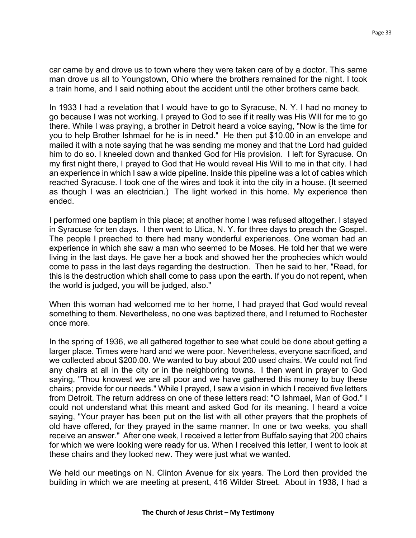car came by and drove us to town where they were taken care of by a doctor. This same man drove us all to Youngstown, Ohio where the brothers remained for the night. I took a train home, and I said nothing about the accident until the other brothers came back.

In 1933 I had a revelation that I would have to go to Syracuse, N. Y. I had no money to go because I was not working. I prayed to God to see if it really was His Will for me to go there. While I was praying, a brother in Detroit heard a voice saying, "Now is the time for you to help Brother Ishmael for he is in need." He then put \$10.00 in an envelope and mailed it with a note saying that he was sending me money and that the Lord had guided him to do so. I kneeled down and thanked God for His provision. I left for Syracuse. On my first night there, I prayed to God that He would reveal His Will to me in that city. I had an experience in which I saw a wide pipeline. Inside this pipeline was a lot of cables which reached Syracuse. I took one of the wires and took it into the city in a house. (It seemed as though I was an electrician.) The light worked in this home. My experience then ended.

I performed one baptism in this place; at another home I was refused altogether. I stayed in Syracuse for ten days. I then went to Utica, N. Y. for three days to preach the Gospel. The people I preached to there had many wonderful experiences. One woman had an experience in which she saw a man who seemed to be Moses. He told her that we were living in the last days. He gave her a book and showed her the prophecies which would come to pass in the last days regarding the destruction. Then he said to her, "Read, for this is the destruction which shall come to pass upon the earth. If you do not repent, when the world is judged, you will be judged, also."

When this woman had welcomed me to her home, I had prayed that God would reveal something to them. Nevertheless, no one was baptized there, and I returned to Rochester once more.

In the spring of 1936, we all gathered together to see what could be done about getting a larger place. Times were hard and we were poor. Nevertheless, everyone sacrificed, and we collected about \$200.00. We wanted to buy about 200 used chairs. We could not find any chairs at all in the city or in the neighboring towns. I then went in prayer to God saying, "Thou knowest we are all poor and we have gathered this money to buy these chairs; provide for our needs." While I prayed, I saw a vision in which I received five letters from Detroit. The return address on one of these letters read: "O Ishmael, Man of God." I could not understand what this meant and asked God for its meaning. I heard a voice saying, "Your prayer has been put on the list with all other prayers that the prophets of old have offered, for they prayed in the same manner. In one or two weeks, you shall receive an answer." After one week, I received a letter from Buffalo saying that 200 chairs for which we were looking were ready for us. When I received this letter, I went to look at these chairs and they looked new. They were just what we wanted.

We held our meetings on N. Clinton Avenue for six years. The Lord then provided the building in which we are meeting at present, 416 Wilder Street. About in 1938, I had a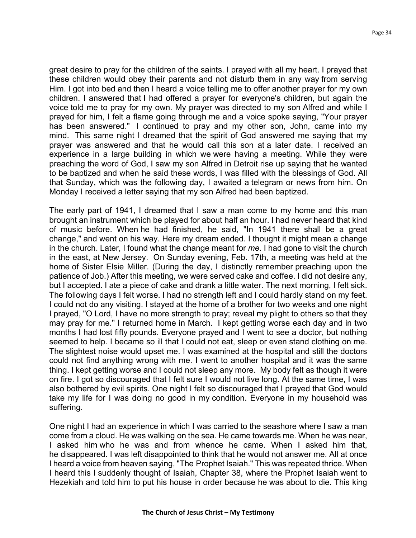great desire to pray for the children of the saints. I prayed with all my heart. I prayed that these children would obey their parents and not disturb them in any way from serving Him. I got into bed and then I heard a voice telling me to offer another prayer for my own children. I answered that I had offered a prayer for everyone's children, but again the voice told me to pray for my own. My prayer was directed to my son Alfred and while I prayed for him, I felt a flame going through me and a voice spoke saying, "Your prayer has been answered." I continued to pray and my other son, John, came into my mind. This same night I dreamed that the spirit of God answered me saying that my prayer was answered and that he would call this son at a later date. I received an experience in a large building in which we were having a meeting. While they were preaching the word of God, I saw my son Alfred in Detroit rise up saying that he wanted to be baptized and when he said these words, I was filled with the blessings of God. All that Sunday, which was the following day, I awaited a telegram or news from him. On Monday I received a letter saying that my son Alfred had been baptized.

The early part of 1941, I dreamed that I saw a man come to my home and this man brought an instrument which be played for about half an hour. I had never heard that kind of music before. When he had finished, he said, "In 1941 there shall be a great change," and went on his way. Here my dream ended. I thought it might mean a change in the church. Later, I found what the change meant for *me.* I had gone to visit the church in the east, at New Jersey. On Sunday evening, Feb. 17th, a meeting was held at the home of Sister Elsie Miller. (During the day, I distinctly remember preaching upon the patience of Job.) After this meeting, we were served cake and coffee. I did not desire any, but I accepted. I ate a piece of cake and drank a little water. The next morning, I felt sick. The following days I felt worse. I had no strength left and I could hardly stand on my feet. I could not do any visiting. I stayed at the home of a brother for two weeks and one night I prayed, "O Lord, I have no more strength to pray; reveal my plight to others so that they may pray for me." I returned home in March. I kept getting worse each day and in two months I had lost fifty pounds. Everyone prayed and I went to see a doctor, but nothing seemed to help. I became so ill that I could not eat, sleep or even stand clothing on me. The slightest noise would upset me. I was examined at the hospital and still the doctors could not find anything wrong with me. I went to another hospital and it was the same thing. I kept getting worse and I could not sleep any more. My body felt as though it were on fire. I got so discouraged that I felt sure I would not live long. At the same time, I was also bothered by evil spirits. One night I felt so discouraged that I prayed that God would take my life for I was doing no good in my condition. Everyone in my household was suffering.

One night I had an experience in which I was carried to the seashore where I saw a man come from a cloud. He was walking on the sea. He came towards me. When he was near, I asked him who he was and from whence he came. When I asked him that, he disappeared. I was left disappointed to think that he would not answer me. All at once I heard a voice from heaven saying, "The Prophet Isaiah." This was repeated thrice. When I heard this I suddenly thought of Isaiah, Chapter 38, where the Prophet Isaiah went to Hezekiah and told him to put his house in order because he was about to die. This king